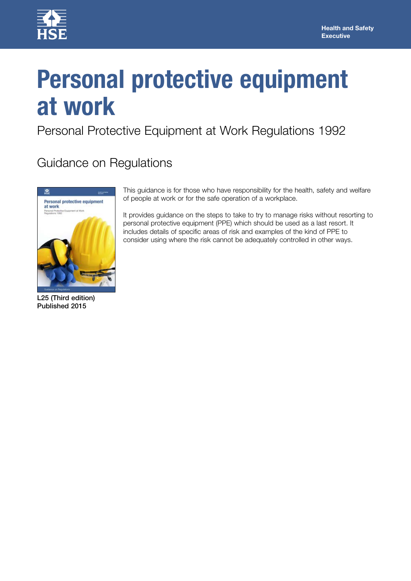

### **Personal protective equipment at work**

Personal Protective Equipment at Work Regulations 1992

#### Guidance on Regulations



L25 (Third edition) Published 2015

This guidance is for those who have responsibility for the health, safety and welfare of people at work or for the safe operation of a workplace.

It provides guidance on the steps to take to try to manage risks without resorting to personal protective equipment (PPE) which should be used as a last resort. It includes details of specific areas of risk and examples of the kind of PPE to consider using where the risk cannot be adequately controlled in other ways.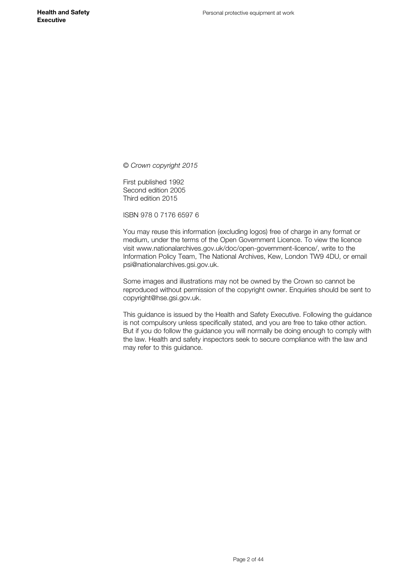© *Crown copyright 2015*

First published 1992 Second edition 2005 Third edition 2015

ISBN 978 0 7176 6597 6

You may reuse this information (excluding logos) free of charge in any format or medium, under the terms of the Open Government Licence. To view the licence visit [www.nationalarchives.gov.uk/doc/open-government-licence/](http://www.nationalarchives.gov.uk/doc/open-government-licence/), write to the Information Policy Team, The National Archives, Kew, London TW9 4DU, or email [psi@nationalarchives.gsi.gov.uk](mailto:psi@nationalarchives.gsi.gov.uk).

Some images and illustrations may not be owned by the Crown so cannot be reproduced without permission of the copyright owner. Enquiries should be sent to [copyright@hse.gsi.gov.uk.](mailto:copyright@hse.gsi.gov.uk)

This guidance is issued by the Health and Safety Executive. Following the guidance is not compulsory unless specifically stated, and you are free to take other action. But if you do follow the guidance you will normally be doing enough to comply with the law. Health and safety inspectors seek to secure compliance with the law and may refer to this guidance.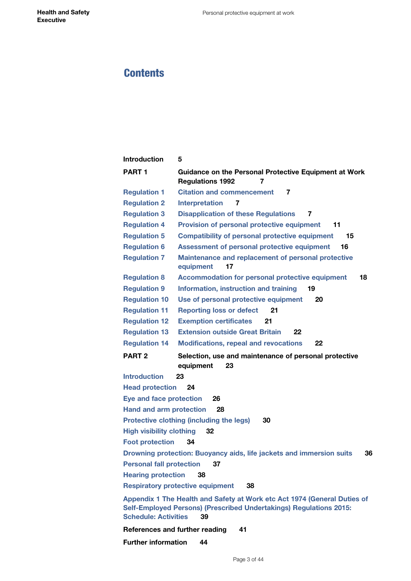#### **Contents**

| <b>Introduction</b>                | 5                                                                                                                                                    |
|------------------------------------|------------------------------------------------------------------------------------------------------------------------------------------------------|
| <b>PART 1</b>                      | Guidance on the Personal Protective Equipment at Work<br><b>Regulations 1992</b><br>7                                                                |
| <b>Regulation 1</b>                | <b>Citation and commencement</b><br>7                                                                                                                |
| <b>Regulation 2</b>                | Interpretation<br>7                                                                                                                                  |
| <b>Regulation 3</b>                | <b>Disapplication of these Regulations</b><br>7                                                                                                      |
| <b>Regulation 4</b>                | <b>Provision of personal protective equipment</b><br>11                                                                                              |
| <b>Regulation 5</b>                | <b>Compatibility of personal protective equipment</b><br>15                                                                                          |
| <b>Regulation 6</b>                | <b>Assessment of personal protective equipment</b><br>16                                                                                             |
| <b>Regulation 7</b>                | Maintenance and replacement of personal protective<br>equipment<br>17                                                                                |
| <b>Regulation 8</b>                | <b>Accommodation for personal protective equipment</b><br>18                                                                                         |
| <b>Regulation 9</b>                | Information, instruction and training<br>19                                                                                                          |
| <b>Regulation 10</b>               | Use of personal protective equipment<br>20                                                                                                           |
| <b>Regulation 11</b>               | <b>Reporting loss or defect</b><br>21                                                                                                                |
| <b>Regulation 12</b>               | <b>Exemption certificates</b><br>21                                                                                                                  |
| <b>Regulation 13</b>               | <b>Extension outside Great Britain</b><br>22                                                                                                         |
| <b>Regulation 14</b>               | <b>Modifications, repeal and revocations</b><br>22                                                                                                   |
| <b>PART 2</b>                      | Selection, use and maintenance of personal protective<br>equipment<br>23                                                                             |
| <b>Introduction</b>                | 23                                                                                                                                                   |
| <b>Head protection</b>             | 24                                                                                                                                                   |
| Eye and face protection            | 26                                                                                                                                                   |
| <b>Hand and arm protection</b>     | 28                                                                                                                                                   |
|                                    | <b>Protective clothing (including the legs)</b><br>30                                                                                                |
| <b>High visibility clothing</b>    | 32                                                                                                                                                   |
| <b>Foot protection</b>             | 34                                                                                                                                                   |
|                                    | Drowning protection: Buoyancy aids, life jackets and immersion suits<br>36                                                                           |
| <b>Personal fall protection 37</b> |                                                                                                                                                      |
| <b>Hearing protection</b>          | 38                                                                                                                                                   |
|                                    | <b>Respiratory protective equipment</b><br>38                                                                                                        |
| <b>Schedule: Activities</b>        | Appendix 1 The Health and Safety at Work etc Act 1974 (General Duties of<br>Self-Employed Persons) (Prescribed Undertakings) Regulations 2015:<br>39 |
| References and further reading     | 41                                                                                                                                                   |

**[Further information 44](#page-43-0)**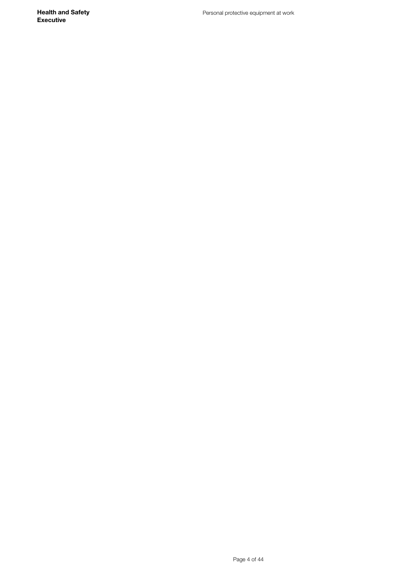**Health and Safety Executive**

Personal protective equipment at work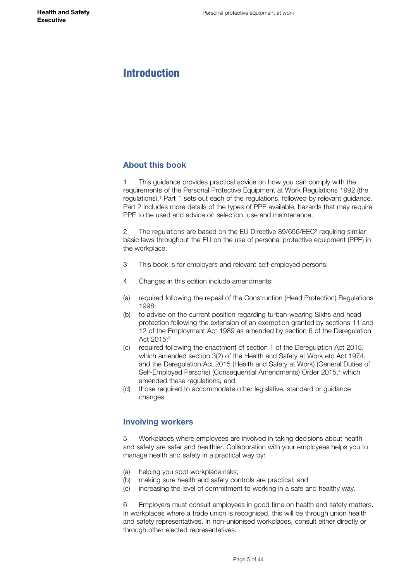#### <span id="page-4-0"></span>Introduction

#### **About this book**

1 This guidance provides practical advice on how you can comply with the requirements of the Personal Protective Equipment at Work Regulations 1992 (the regulations).1 Part 1 sets out each of the regulations, followed by relevant guidance. Part 2 includes more details of the types of PPE available, hazards that may require PPE to be used and advice on selection, use and maintenance.

2 The regulations are based on the EU Directive 89/656/EEC<sup>2</sup> requiring similar basic laws throughout the EU on the use of personal protective equipment (PPE) in the workplace.

- 3 This book is for employers and relevant self-employed persons.
- 4 Changes in this edition include amendments:
- (a) required following the repeal of the Construction (Head Protection) Regulations 1998;
- (b) to advise on the current position regarding turban-wearing Sikhs and head protection following the extension of an exemption granted by sections 11 and 12 of the Employment Act 1989 as amended by section 6 of the Deregulation Act 2015:<sup>3</sup>
- (c) required following the enactment of section 1 of the Deregulation Act 2015, which amended section 3(2) of the Health and Safety at Work etc Act 1974, and the Deregulation Act 2015 (Health and Safety at Work) (General Duties of Self-Employed Persons) (Consequential Amendments) Order 2015,<sup>4</sup> which amended these regulations; and
- (d) those required to accommodate other legislative, standard or guidance changes.

#### **Involving workers**

5 Workplaces where employees are involved in taking decisions about health and safety are safer and healthier. Collaboration with your employees helps you to manage health and safety in a practical way by:

- (a) helping you spot workplace risks;
- (b) making sure health and safety controls are practical; and
- (c) increasing the level of commitment to working in a safe and healthy way.

6 Employers must consult employees in good time on health and safety matters. In workplaces where a trade union is recognised, this will be through union health and safety representatives. In non-unionised workplaces, consult either directly or through other elected representatives.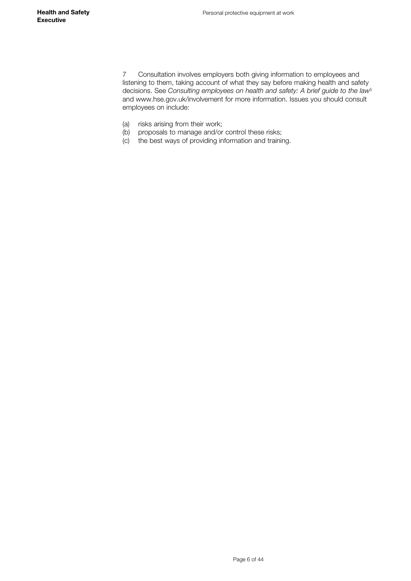7 Consultation involves employers both giving information to employees and listening to them, taking account of what they say before making health and safety decisions. See *Consulting employees on health and safety: A brief guide to the law*<sup>5</sup> and [www.hse.gov.uk/involvement](http://www.hse.gov.uk/involvement) for more information. Issues you should consult employees on include:

- (a) risks arising from their work;
- (b) proposals to manage and/or control these risks;
- (c) the best ways of providing information and training.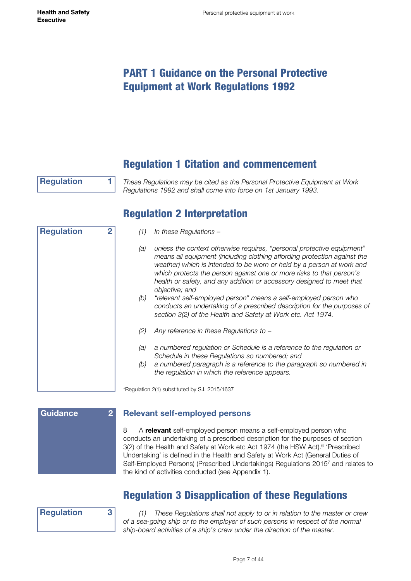#### <span id="page-6-0"></span>PART 1 Guidance on the Personal Protective Equipment at Work Regulations 1992

#### Regulation 1 Citation and commencement

**Regulation 1**

*These Regulations may be cited as the Personal Protective Equipment at Work Regulations 1992 and shall come into force on 1st January 1993.* 

#### Regulation 2 Interpretation

| <b>Regulation</b> | $\mathbf{2}$ | (1) | In these Regulations –                                                                                                                                                                                                                                                                                                                                                                         |
|-------------------|--------------|-----|------------------------------------------------------------------------------------------------------------------------------------------------------------------------------------------------------------------------------------------------------------------------------------------------------------------------------------------------------------------------------------------------|
|                   |              | (a) | unless the context otherwise requires, "personal protective equipment"<br>means all equipment (including clothing affording protection against the<br>weather) which is intended to be worn or held by a person at work and<br>which protects the person against one or more risks to that person's<br>health or safety, and any addition or accessory designed to meet that<br>objective; and |
|                   |              | (b) | "relevant self-employed person" means a self-employed person who<br>conducts an undertaking of a prescribed description for the purposes of<br>section 3(2) of the Health and Safety at Work etc. Act 1974.                                                                                                                                                                                    |
|                   |              | (2) | Any reference in these Regulations to -                                                                                                                                                                                                                                                                                                                                                        |
|                   |              | (a) | a numbered regulation or Schedule is a reference to the regulation or<br>Schedule in these Regulations so numbered; and                                                                                                                                                                                                                                                                        |
|                   |              | (b) | a numbered paragraph is a reference to the paragraph so numbered in<br>the regulation in which the reference appears.                                                                                                                                                                                                                                                                          |
|                   |              |     | *Regulation 2(1) substituted by S.L.2015/1637                                                                                                                                                                                                                                                                                                                                                  |

\*Regulation 2(1) substituted by S.I. 2015/1637

## **Guidance 2**

#### **Relevant self-employed persons**

8 A **relevant** self-employed person means a self-employed person who conducts an undertaking of a prescribed description for the purposes of section 3(2) of the Health and Safety at Work etc Act 1974 (the HSW Act).6 'Prescribed Undertaking' is defined in the Health and Safety at Work Act (General Duties of Self-Employed Persons) (Prescribed Undertakings) Regulations 20157 and relates to the kind of activities conducted (see Appendix 1).

#### Regulation 3 Disapplication of these Regulations

**Regulation 3**

*(1) These Regulations shall not apply to or in relation to the master or crew of a sea-going ship or to the employer of such persons in respect of the normal ship-board activities of a ship's crew under the direction of the master.*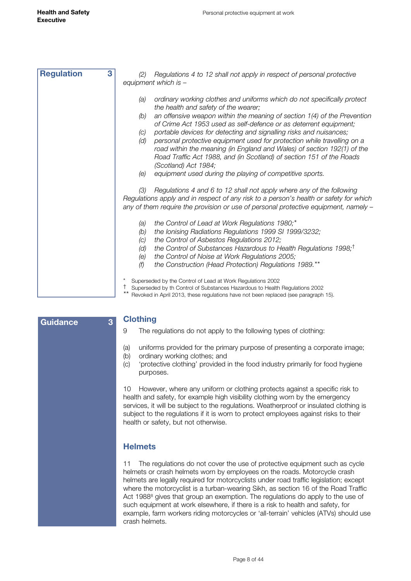| <b>Regulation</b> | 3 | Regulations 4 to 12 shall not apply in respect of personal protective<br>(2)                                                                                                                                                      |
|-------------------|---|-----------------------------------------------------------------------------------------------------------------------------------------------------------------------------------------------------------------------------------|
|                   |   | equipment which is -                                                                                                                                                                                                              |
|                   |   | ordinary working clothes and uniforms which do not specifically protect<br>(a)<br>the health and safety of the wearer;                                                                                                            |
|                   |   | an offensive weapon within the meaning of section 1(4) of the Prevention<br>(b)<br>of Crime Act 1953 used as self-defence or as deterrent equipment;                                                                              |
|                   |   | portable devices for detecting and signalling risks and nuisances;<br>(C)                                                                                                                                                         |
|                   |   | personal protective equipment used for protection while travelling on a<br>(d)<br>road within the meaning (in England and Wales) of section 192(1) of the<br>Road Traffic Act 1988, and (in Scotland) of section 151 of the Roads |
|                   |   | (Scotland) Act 1984;                                                                                                                                                                                                              |
|                   |   | equipment used during the playing of competitive sports.<br>(e)                                                                                                                                                                   |
|                   |   | Regulations 4 and 6 to 12 shall not apply where any of the following<br>(3)                                                                                                                                                       |
|                   |   | Regulations apply and in respect of any risk to a person's health or safety for which                                                                                                                                             |
|                   |   | any of them require the provision or use of personal protective equipment, namely -                                                                                                                                               |
|                   |   | the Control of Lead at Work Regulations 1980;*<br>(a)                                                                                                                                                                             |
|                   |   | the Ionising Radiations Regulations 1999 SI 1999/3232;<br>(b)                                                                                                                                                                     |
|                   |   | (c)<br>the Control of Asbestos Regulations 2012;                                                                                                                                                                                  |
|                   |   | the Control of Substances Hazardous to Health Regulations 1998; <sup>†</sup><br>(d)                                                                                                                                               |
|                   |   | the Control of Noise at Work Regulations 2005;<br>(e)<br>the Construction (Head Protection) Regulations 1989.**<br>(f)                                                                                                            |
|                   |   |                                                                                                                                                                                                                                   |
|                   |   | Superseded by the Control of Lead at Work Regulations 2002                                                                                                                                                                        |
|                   |   | Superseded by th Control of Substances Hazardous to Health Regulations 2002<br>$***$<br>Revoked in April 2013, these regulations have not been replaced (see paragraph 15).                                                       |

**Guidance 3**

#### **Clothing**

- 9 The regulations do not apply to the following types of clothing:
- (a) uniforms provided for the primary purpose of presenting a corporate image;
- (b) ordinary working clothes; and
- (c) 'protective clothing' provided in the food industry primarily for food hygiene purposes.

10 However, where any uniform or clothing protects against a specific risk to health and safety, for example high visibility clothing worn by the emergency services, it will be subject to the regulations. Weatherproof or insulated clothing is subject to the regulations if it is worn to protect employees against risks to their health or safety, but not otherwise.

#### **Helmets**

11 The regulations do not cover the use of protective equipment such as cycle helmets or crash helmets worn by employees on the roads. Motorcycle crash helmets are legally required for motorcyclists under road traffic legislation; except where the motorcyclist is a turban-wearing Sikh, as section 16 of the Road Traffic Act 1988<sup>8</sup> gives that group an exemption. The regulations do apply to the use of such equipment at work elsewhere, if there is a risk to health and safety, for example, farm workers riding motorcycles or 'all-terrain' vehicles (ATVs) should use crash helmets.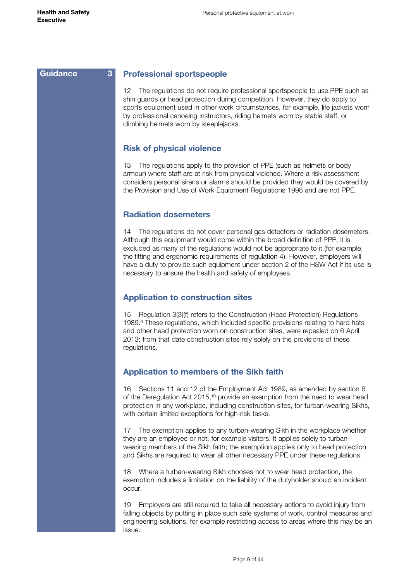#### **Professional sportspeople Guidance 3**

12 The regulations do not require professional sportspeople to use PPE such as shin guards or head protection during competition. However, they do apply to sports equipment used in other work circumstances, for example, life jackets worn by professional canoeing instructors, riding helmets worn by stable staff, or climbing helmets worn by steeplejacks.

#### **Risk of physical violence**

13 The regulations apply to the provision of PPE (such as helmets or body armour) where staff are at risk from physical violence. Where a risk assessment considers personal sirens or alarms should be provided they would be covered by the Provision and Use of Work Equipment Regulations 1998 and are not PPE.

#### **Radiation dosemeters**

14 The regulations do not cover personal gas detectors or radiation dosemeters. Although this equipment would come within the broad definition of PPE, it is excluded as many of the regulations would not be appropriate to it (for example, the fitting and ergonomic requirements of regulation 4). However, employers will have a duty to provide such equipment under section 2 of the HSW Act if its use is necessary to ensure the health and safety of employees.

#### **Application to construction sites**

15 Regulation 3(3)(f) refers to the Construction (Head Protection) Regulations 1989.9 These regulations, which included specific provisions relating to hard hats and other head protection worn on construction sites, were repealed on 6 April 2013; from that date construction sites rely solely on the provisions of these regulations.

#### **Application to members of the Sikh faith**

16 Sections 11 and 12 of the Employment Act 1989, as amended by section 6 of the Deregulation Act 2015,10 provide an exemption from the need to wear head protection in any workplace, including construction sites, for turban-wearing Sikhs, with certain limited exceptions for high-risk tasks.

17 The exemption applies to any turban-wearing Sikh in the workplace whether they are an employee or not, for example visitors. It applies solely to turbanwearing members of the Sikh faith; the exemption applies only to head protection and Sikhs are required to wear all other necessary PPE under these regulations.

18 Where a turban-wearing Sikh chooses not to wear head protection, the exemption includes a limitation on the liability of the dutyholder should an incident occur.

19 Employers are still required to take all necessary actions to avoid injury from falling objects by putting in place such safe systems of work, control measures and engineering solutions, for example restricting access to areas where this may be an issue.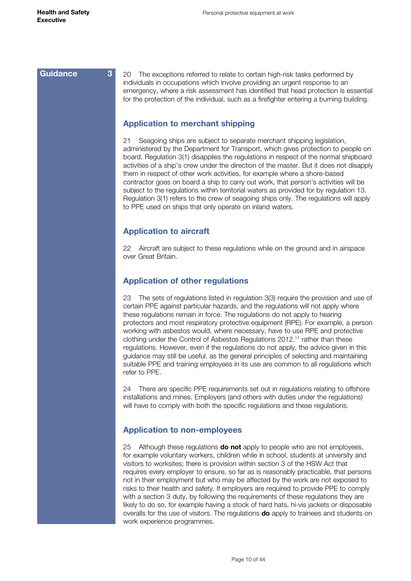20 The exceptions referred to relate to certain high-risk tasks performed by individuals in occupations which involve providing an urgent response to an emergency, where a risk assessment has identified that head protection is essential for the protection of the individual, such as a firefighter entering a burning building. **Application to merchant shipping** 21 Seagoing ships are subject to separate merchant shipping legislation. administered by the Department for Transport, which gives protection to people on board. Regulation 3(1) disapplies the regulations in respect of the normal shipboard activities of a ship's crew under the direction of the master. But it does not disapply them in respect of other work activities, for example where a shore-based contractor goes on board a ship to carry out work, that person's activities will be subject to the regulations within territorial waters as provided for by regulation 13. Regulation 3(1) refers to the crew of seagoing ships only. The regulations will apply to PPE used on ships that only operate on inland waters. **Application to aircraft** 22 Aircraft are subject to these regulations while on the ground and in airspace over Great Britain. **Application of other regulations** 23 The sets of regulations listed in regulation 3(3) require the provision and use of certain PPE against particular hazards, and the regulations will not apply where these regulations remain in force. The regulations do not apply to hearing protectors and most respiratory protective equipment (RPE). For example, a person working with asbestos would, where necessary, have to use RPE and protective clothing under the Control of Asbestos Regulations 2012,<sup>11</sup> rather than these regulations. However, even if the regulations do not apply, the advice given in this guidance may still be useful, as the general principles of selecting and maintaining suitable PPE and training employees in its use are common to all regulations which refer to PPE. 24 There are specific PPE requirements set out in regulations relating to offshore installations and mines. Employers (and others with duties under the regulations) will have to comply with both the specific regulations and these regulations. **Application to non-employees** 25 Although these regulations **do not** apply to people who are not employees, for example voluntary workers, children while in school, students at university and visitors to worksites; there is provision within section 3 of the HSW Act that requires every employer to ensure, so far as is reasonably practicable, that persons not in their employment but who may be affected by the work are not exposed to risks to their health and safety. If employers are required to provide PPE to comply with a section 3 duty, by following the requirements of these regulations they are likely to do so, for example having a stock of hard hats, hi-vis jackets or disposable overalls for the use of visitors. The regulations **do** apply to trainees and students on work experience programmes. **Guidance 3**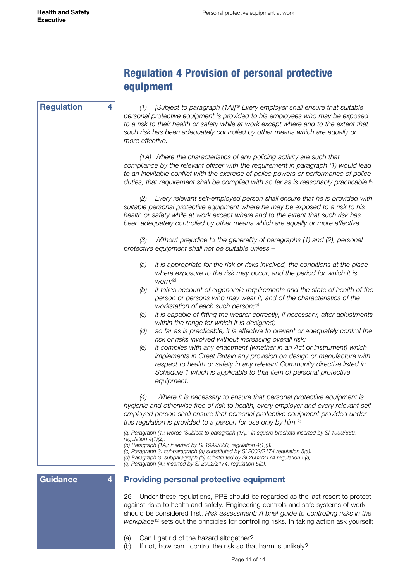#### Regulation 4 Provision of personal protective equipment

<span id="page-10-0"></span>

| <b>Regulation</b><br>4 | $(1)$ [Subject to paragraph $(1A)$ ] <sup>(a)</sup> Every employer shall ensure that suitable<br>personal protective equipment is provided to his employees who may be exposed<br>to a risk to their health or safety while at work except where and to the extent that<br>such risk has been adequately controlled by other means which are equally or<br>more effective.                                                                |
|------------------------|-------------------------------------------------------------------------------------------------------------------------------------------------------------------------------------------------------------------------------------------------------------------------------------------------------------------------------------------------------------------------------------------------------------------------------------------|
|                        | (1A) Where the characteristics of any policing activity are such that<br>compliance by the relevant officer with the requirement in paragraph (1) would lead<br>to an inevitable conflict with the exercise of police powers or performance of police<br>duties, that requirement shall be complied with so far as is reasonably practicable. <sup>(b)</sup>                                                                              |
|                        | Every relevant self-employed person shall ensure that he is provided with<br>(2)<br>suitable personal protective equipment where he may be exposed to a risk to his<br>health or safety while at work except where and to the extent that such risk has<br>been adequately controlled by other means which are equally or more effective.                                                                                                 |
|                        | Without prejudice to the generality of paragraphs (1) and (2), personal<br>(3)<br>protective equipment shall not be suitable unless -                                                                                                                                                                                                                                                                                                     |
|                        | it is appropriate for the risk or risks involved, the conditions at the place<br>(a)<br>where exposure to the risk may occur, and the period for which it is<br>$W$ orn; $\binom{C}{C}$                                                                                                                                                                                                                                                   |
|                        | (b)<br>it takes account of ergonomic requirements and the state of health of the<br>person or persons who may wear it, and of the characteristics of the<br>workstation of each such person; <sup>(d)</sup>                                                                                                                                                                                                                               |
|                        | it is capable of fitting the wearer correctly, if necessary, after adjustments<br>(C)<br>within the range for which it is designed;<br>so far as is practicable, it is effective to prevent or adequately control the<br>(d)<br>risk or risks involved without increasing overall risk;                                                                                                                                                   |
|                        | it complies with any enactment (whether in an Act or instrument) which<br>(e)<br>implements in Great Britain any provision on design or manufacture with<br>respect to health or safety in any relevant Community directive listed in<br>Schedule 1 which is applicable to that item of personal protective<br>equipment.                                                                                                                 |
|                        | Where it is necessary to ensure that personal protective equipment is<br>(4)<br>hygienic and otherwise free of risk to health, every employer and every relevant self-<br>employed person shall ensure that personal protective equipment provided under<br>this regulation is provided to a person for use only by him. <sup>(e)</sup>                                                                                                   |
|                        | (a) Paragraph (1): words 'Subject to paragraph (1A),' in square brackets inserted by SI 1999/860,<br>regulation $4(1)(2)$ .<br>(b) Paragraph (1A): inserted by SI 1999/860, regulation $4(1)(3)$ .<br>(c) Paragraph 3: subparagraph (a) substituted by SI 2002/2174 regulation 5(a).<br>(d) Paragraph 3: subparagraph (b) substituted by SI 2002/2174 regulation 5(a)<br>(e) Paragraph $(4)$ : inserted by SI 2002/2174, regulation 5(b). |
| <b>Guidance</b><br>4   | <b>Providing personal protective equipment</b>                                                                                                                                                                                                                                                                                                                                                                                            |
|                        | Under these regulations, PPE should be regarded as the last resort to protect<br>26<br>against risks to health and safety. Engineering controls and safe systems of work<br>should be considered first. Risk assessment: A brief guide to controlling risks in the<br>workplace <sup>12</sup> sets out the principles for controlling risks. In taking action ask yourself:                                                               |
|                        | Can I get rid of the hazard altogether?<br>(a)                                                                                                                                                                                                                                                                                                                                                                                            |

(b) If not, how can I control the risk so that harm is unlikely?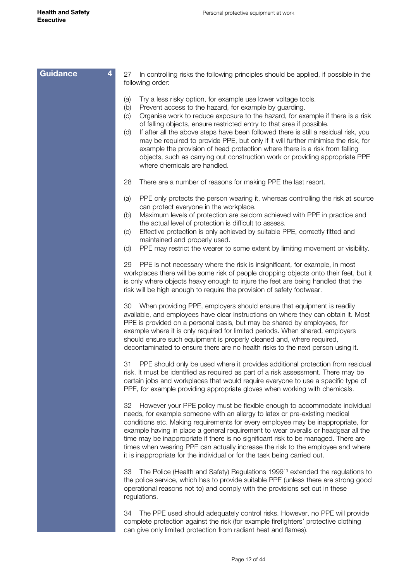| <b>Guidance</b><br>$\overline{\mathbf{4}}$ | In controlling risks the following principles should be applied, if possible in the<br>27<br>following order:                                                                                                                                                                                                                                                                                                                                                                                                                                                                                                                                                                              |
|--------------------------------------------|--------------------------------------------------------------------------------------------------------------------------------------------------------------------------------------------------------------------------------------------------------------------------------------------------------------------------------------------------------------------------------------------------------------------------------------------------------------------------------------------------------------------------------------------------------------------------------------------------------------------------------------------------------------------------------------------|
|                                            | Try a less risky option, for example use lower voltage tools.<br>(a)<br>Prevent access to the hazard, for example by guarding.<br>(b)<br>Organise work to reduce exposure to the hazard, for example if there is a risk<br>(c)<br>of falling objects, ensure restricted entry to that area if possible.<br>(d)<br>If after all the above steps have been followed there is still a residual risk, you<br>may be required to provide PPE, but only if it will further minimise the risk, for<br>example the provision of head protection where there is a risk from falling<br>objects, such as carrying out construction work or providing appropriate PPE<br>where chemicals are handled. |
|                                            | 28<br>There are a number of reasons for making PPE the last resort.                                                                                                                                                                                                                                                                                                                                                                                                                                                                                                                                                                                                                        |
|                                            | (a)<br>PPE only protects the person wearing it, whereas controlling the risk at source<br>can protect everyone in the workplace.<br>Maximum levels of protection are seldom achieved with PPE in practice and<br>(b)<br>the actual level of protection is difficult to assess.<br>Effective protection is only achieved by suitable PPE, correctly fitted and<br>(c)<br>maintained and properly used.<br>PPE may restrict the wearer to some extent by limiting movement or visibility.<br>(d)                                                                                                                                                                                             |
|                                            | PPE is not necessary where the risk is insignificant, for example, in most<br>29<br>workplaces there will be some risk of people dropping objects onto their feet, but it<br>is only where objects heavy enough to injure the feet are being handled that the<br>risk will be high enough to require the provision of safety footwear.                                                                                                                                                                                                                                                                                                                                                     |
|                                            | When providing PPE, employers should ensure that equipment is readily<br>30<br>available, and employees have clear instructions on where they can obtain it. Most<br>PPE is provided on a personal basis, but may be shared by employees, for<br>example where it is only required for limited periods. When shared, employers<br>should ensure such equipment is properly cleaned and, where required,<br>decontaminated to ensure there are no health risks to the next person using it.                                                                                                                                                                                                 |
|                                            | PPE should only be used where it provides additional protection from residual<br>31<br>risk. It must be identified as required as part of a risk assessment. There may be<br>certain jobs and workplaces that would require everyone to use a specific type of<br>PPE, for example providing appropriate gloves when working with chemicals.                                                                                                                                                                                                                                                                                                                                               |
|                                            | 32<br>However your PPE policy must be flexible enough to accommodate individual<br>needs, for example someone with an allergy to latex or pre-existing medical<br>conditions etc. Making requirements for every employee may be inappropriate, for<br>example having in place a general requirement to wear overalls or headgear all the<br>time may be inappropriate if there is no significant risk to be managed. There are<br>times when wearing PPE can actually increase the risk to the employee and where<br>it is inappropriate for the individual or for the task being carried out.                                                                                             |
|                                            | The Police (Health and Safety) Regulations 1999 <sup>13</sup> extended the regulations to<br>33<br>the police service, which has to provide suitable PPE (unless there are strong good<br>operational reasons not to) and comply with the provisions set out in these<br>regulations.                                                                                                                                                                                                                                                                                                                                                                                                      |
|                                            | 34<br>The PPE used should adequately control risks. However, no PPE will provide<br>complete protection against the risk (for example firefighters' protective clothing<br>can give only limited protection from radiant heat and flames).                                                                                                                                                                                                                                                                                                                                                                                                                                                 |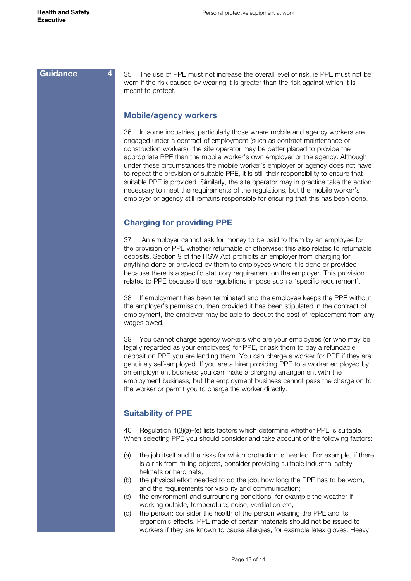35 The use of PPE must not increase the overall level of risk, ie PPE must not be worn if the risk caused by wearing it is greater than the risk against which it is meant to protect. **Mobile/agency workers**  36 In some industries, particularly those where mobile and agency workers are engaged under a contract of employment (such as contract maintenance or construction workers), the site operator may be better placed to provide the appropriate PPE than the mobile worker's own employer or the agency. Although under these circumstances the mobile worker's employer or agency does not have to repeat the provision of suitable PPE, it is still their responsibility to ensure that suitable PPE is provided. Similarly, the site operator may in practice take the action necessary to meet the requirements of the regulations, but the mobile worker's employer or agency still remains responsible for ensuring that this has been done. **Charging for providing PPE**  37 An employer cannot ask for money to be paid to them by an employee for the provision of PPE whether returnable or otherwise; this also relates to returnable deposits. Section 9 of the HSW Act prohibits an employer from charging for anything done or provided by them to employees where it is done or provided because there is a specific statutory requirement on the employer. This provision relates to PPE because these regulations impose such a 'specific requirement'. 38 If employment has been terminated and the employee keeps the PPE without the employer's permission, then provided it has been stipulated in the contract of employment, the employer may be able to deduct the cost of replacement from any wages owed. 39 You cannot charge agency workers who are your employees (or who may be legally regarded as your employees) for PPE, or ask them to pay a refundable deposit on PPE you are lending them. You can charge a worker for PPE if they are genuinely self-employed. If you are a hirer providing PPE to a worker employed by an employment business you can make a charging arrangement with the employment business, but the employment business cannot pass the charge on to the worker or permit you to charge the worker directly. **Suitability of PPE**  40 Regulation 4(3)(a)–(e) lists factors which determine whether PPE is suitable. When selecting PPE you should consider and take account of the following factors: (a) the job itself and the risks for which protection is needed. For example, if there is a risk from falling objects, consider providing suitable industrial safety helmets or hard hats; (b) the physical effort needed to do the job, how long the PPE has to be worn, and the requirements for visibility and communication; (c) the environment and surrounding conditions, for example the weather if working outside, temperature, noise, ventilation etc; (d) the person: consider the health of the person wearing the PPE and its ergonomic effects. PPE made of certain materials should not be issued to workers if they are known to cause allergies, for example latex gloves. Heavy **Guidance 4**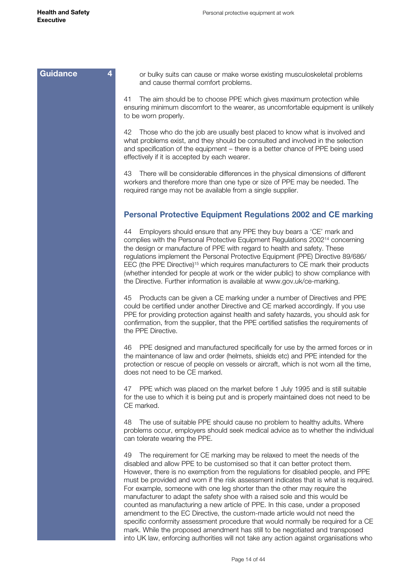or bulky suits can cause or make worse existing musculoskeletal problems and cause thermal comfort problems. 41 The aim should be to choose PPE which gives maximum protection while ensuring minimum discomfort to the wearer, as uncomfortable equipment is unlikely to be worn properly. 42 Those who do the job are usually best placed to know what is involved and what problems exist, and they should be consulted and involved in the selection and specification of the equipment – there is a better chance of PPE being used effectively if it is accepted by each wearer. 43 There will be considerable differences in the physical dimensions of different workers and therefore more than one type or size of PPE may be needed. The required range may not be available from a single supplier. **Personal Protective Equipment Regulations 2002 and CE marking** 44 Employers should ensure that any PPE they buy bears a 'CE' mark and complies with the Personal Protective Equipment Regulations 200214 concerning the design or manufacture of PPE with regard to health and safety. These regulations implement the Personal Protective Equipment (PPE) Directive 89/686/ EEC (the PPE Directive)<sup>15</sup> which requires manufacturers to CE mark their products (whether intended for people at work or the wider public) to show compliance with the Directive. Further information is available at [www.gov.uk/ce-marking.](file:///C:\Users\abryce\AppData\Local\Microsoft\Windows\Temporary%20Internet%20Files\Content.Outlook\75RRYMSL\www.gov.uk\ce-marking) 45 Products can be given a CE marking under a number of Directives and PPE could be certified under another Directive and CE marked accordingly. If you use PPE for providing protection against health and safety hazards, you should ask for confirmation, from the supplier, that the PPE certified satisfies the requirements of the PPE Directive. 46 PPE designed and manufactured specifically for use by the armed forces or in the maintenance of law and order (helmets, shields etc) and PPE intended for the protection or rescue of people on vessels or aircraft, which is not worn all the time, does not need to be CE marked. 47 PPE which was placed on the market before 1 July 1995 and is still suitable for the use to which it is being put and is properly maintained does not need to be CE marked. 48 The use of suitable PPE should cause no problem to healthy adults. Where problems occur, employers should seek medical advice as to whether the individual can tolerate wearing the PPE. 49 The requirement for CE marking may be relaxed to meet the needs of the disabled and allow PPE to be customised so that it can better protect them. However, there is no exemption from the regulations for disabled people, and PPE must be provided and worn if the risk assessment indicates that is what is required. For example, someone with one leg shorter than the other may require the manufacturer to adapt the safety shoe with a raised sole and this would be counted as manufacturing a new article of PPE. In this case, under a proposed amendment to the EC Directive, the custom-made article would not need the specific conformity assessment procedure that would normally be required for a CE mark. While the proposed amendment has still to be negotiated and transposed into UK law, enforcing authorities will not take any action against organisations who **Guidance 4**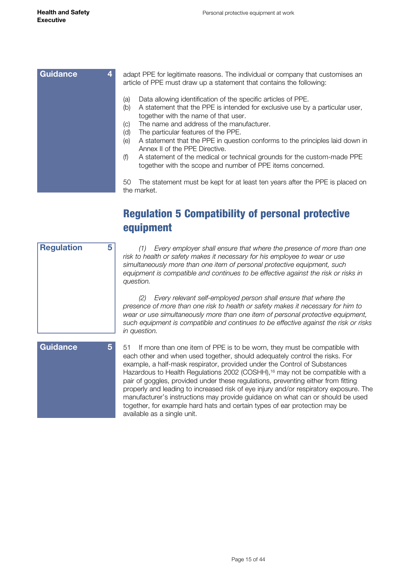<span id="page-14-0"></span>

| <b>Guidance</b><br>4 | adapt PPE for legitimate reasons. The individual or company that customises an<br>article of PPE must draw up a statement that contains the following:                                                                                                                                                                                                                                                                                                                                                                                                                                            |
|----------------------|---------------------------------------------------------------------------------------------------------------------------------------------------------------------------------------------------------------------------------------------------------------------------------------------------------------------------------------------------------------------------------------------------------------------------------------------------------------------------------------------------------------------------------------------------------------------------------------------------|
|                      | Data allowing identification of the specific articles of PPE.<br>(a)<br>A statement that the PPE is intended for exclusive use by a particular user,<br>(b)<br>together with the name of that user.<br>The name and address of the manufacturer.<br>$\left( \circ \right)$<br>(d)<br>The particular features of the PPE.<br>(e)<br>A statement that the PPE in question conforms to the principles laid down in<br>Annex II of the PPE Directive.<br>A statement of the medical or technical grounds for the custom-made PPE<br>(f)<br>together with the scope and number of PPE items concerned. |
|                      | The statement must be kept for at least ten years after the PPE is placed on<br>50<br>the market.                                                                                                                                                                                                                                                                                                                                                                                                                                                                                                 |

#### Regulation 5 Compatibility of personal protective equipment



*(1) Every employer shall ensure that where the presence of more than one risk to health or safety makes it necessary for his employee to wear or use simultaneously more than one item of personal protective equipment, such equipment is compatible and continues to be effective against the risk or risks in question.* 

*(2) Every relevant self-employed person shall ensure that where the presence of more than one risk to health or safety makes it necessary for him to wear or use simultaneously more than one item of personal protective equipment, such equipment is compatible and continues to be effective against the risk or risks in question.* 



51 If more than one item of PPE is to be worn, they must be compatible with each other and when used together, should adequately control the risks. For example, a half-mask respirator, provided under the Control of Substances Hazardous to Health Regulations 2002 (COSHH),<sup>16</sup> may not be compatible with a pair of goggles, provided under these regulations, preventing either from fitting properly and leading to increased risk of eye injury and/or respiratory exposure. The manufacturer's instructions may provide guidance on what can or should be used together, for example hard hats and certain types of ear protection may be available as a single unit.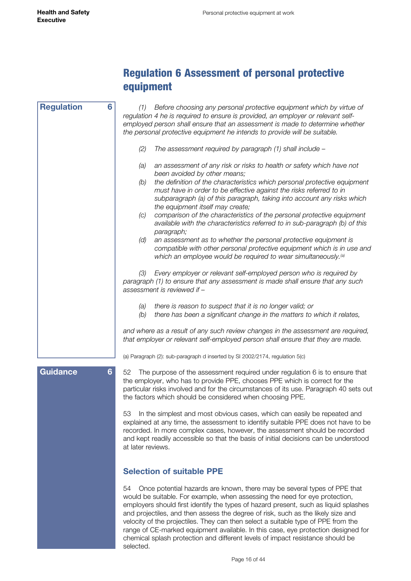#### Regulation 6 Assessment of personal protective equipment

<span id="page-15-0"></span>

| <b>Regulation</b><br>6 | Before choosing any personal protective equipment which by virtue of<br>(1)<br>regulation 4 he is required to ensure is provided, an employer or relevant self-<br>employed person shall ensure that an assessment is made to determine whether<br>the personal protective equipment he intends to provide will be suitable.                                                                                                                                                                                                                                                                                       |
|------------------------|--------------------------------------------------------------------------------------------------------------------------------------------------------------------------------------------------------------------------------------------------------------------------------------------------------------------------------------------------------------------------------------------------------------------------------------------------------------------------------------------------------------------------------------------------------------------------------------------------------------------|
|                        | (2)<br>The assessment required by paragraph $(1)$ shall include –                                                                                                                                                                                                                                                                                                                                                                                                                                                                                                                                                  |
|                        | an assessment of any risk or risks to health or safety which have not<br>(a)<br>been avoided by other means;                                                                                                                                                                                                                                                                                                                                                                                                                                                                                                       |
|                        | the definition of the characteristics which personal protective equipment<br>(b)<br>must have in order to be effective against the risks referred to in<br>subparagraph (a) of this paragraph, taking into account any risks which<br>the equipment itself may create;                                                                                                                                                                                                                                                                                                                                             |
|                        | comparison of the characteristics of the personal protective equipment<br>(c)<br>available with the characteristics referred to in sub-paragraph (b) of this<br>paragraph;                                                                                                                                                                                                                                                                                                                                                                                                                                         |
|                        | an assessment as to whether the personal protective equipment is<br>(d)<br>compatible with other personal protective equipment which is in use and<br>which an employee would be required to wear simultaneously. <sup>(a)</sup>                                                                                                                                                                                                                                                                                                                                                                                   |
|                        | Every employer or relevant self-employed person who is required by<br>(3)<br>paragraph (1) to ensure that any assessment is made shall ensure that any such<br>assessment is reviewed if -                                                                                                                                                                                                                                                                                                                                                                                                                         |
|                        | there is reason to suspect that it is no longer valid; or<br>(a)<br>(b)<br>there has been a significant change in the matters to which it relates,                                                                                                                                                                                                                                                                                                                                                                                                                                                                 |
|                        | and where as a result of any such review changes in the assessment are required,<br>that employer or relevant self-employed person shall ensure that they are made.                                                                                                                                                                                                                                                                                                                                                                                                                                                |
|                        | (a) Paragraph (2): sub-paragraph d inserted by SI 2002/2174, regulation 5(c)                                                                                                                                                                                                                                                                                                                                                                                                                                                                                                                                       |
| <b>Guidance</b><br>6   | The purpose of the assessment required under regulation 6 is to ensure that<br>52<br>the employer, who has to provide PPE, chooses PPE which is correct for the<br>particular risks involved and for the circumstances of its use. Paragraph 40 sets out<br>the factors which should be considered when choosing PPE.                                                                                                                                                                                                                                                                                              |
|                        | In the simplest and most obvious cases, which can easily be repeated and<br>53<br>explained at any time, the assessment to identify suitable PPE does not have to be<br>recorded. In more complex cases, however, the assessment should be recorded<br>and kept readily accessible so that the basis of initial decisions can be understood<br>at later reviews.                                                                                                                                                                                                                                                   |
|                        | <b>Selection of suitable PPE</b>                                                                                                                                                                                                                                                                                                                                                                                                                                                                                                                                                                                   |
|                        | Once potential hazards are known, there may be several types of PPE that<br>54<br>would be suitable. For example, when assessing the need for eye protection,<br>employers should first identify the types of hazard present, such as liquid splashes<br>and projectiles, and then assess the degree of risk, such as the likely size and<br>velocity of the projectiles. They can then select a suitable type of PPE from the<br>range of CE-marked equipment available. In this case, eye protection designed for<br>chemical splash protection and different levels of impact resistance should be<br>selected. |

Page 16 of 44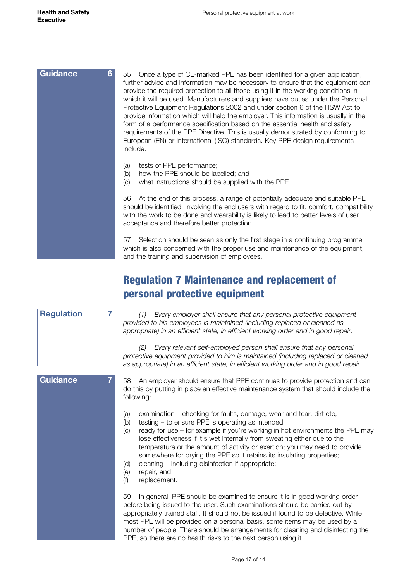<span id="page-16-0"></span>

| <b>Guidance</b> | 6<br>Once a type of CE-marked PPE has been identified for a given application,<br>55<br>further advice and information may be necessary to ensure that the equipment can<br>provide the required protection to all those using it in the working conditions in<br>which it will be used. Manufacturers and suppliers have duties under the Personal<br>Protective Equipment Regulations 2002 and under section 6 of the HSW Act to<br>provide information which will help the employer. This information is usually in the<br>form of a performance specification based on the essential health and safety<br>requirements of the PPE Directive. This is usually demonstrated by conforming to<br>European (EN) or International (ISO) standards. Key PPE design requirements<br>include: |
|-----------------|-------------------------------------------------------------------------------------------------------------------------------------------------------------------------------------------------------------------------------------------------------------------------------------------------------------------------------------------------------------------------------------------------------------------------------------------------------------------------------------------------------------------------------------------------------------------------------------------------------------------------------------------------------------------------------------------------------------------------------------------------------------------------------------------|
|                 | tests of PPE performance;<br>(a)<br>how the PPE should be labelled; and<br>(b)<br>what instructions should be supplied with the PPE.<br>(C)                                                                                                                                                                                                                                                                                                                                                                                                                                                                                                                                                                                                                                               |
|                 | At the end of this process, a range of potentially adequate and suitable PPE<br>56<br>should be identified. Involving the end users with regard to fit, comfort, compatibility<br>with the work to be done and wearability is likely to lead to better levels of user                                                                                                                                                                                                                                                                                                                                                                                                                                                                                                                     |

acceptance and therefore better protection.

57 Selection should be seen as only the first stage in a continuing programme which is also concerned with the proper use and maintenance of the equipment. and the training and supervision of employees.

#### Regulation 7 Maintenance and replacement of personal protective equipment



*(1) Every employer shall ensure that any personal protective equipment provided to his employees is maintained (including replaced or cleaned as appropriate) in an efficient state, in efficient working order and in good repair.* 

*(2) Every relevant self-employed person shall ensure that any personal protective equipment provided to him is maintained (including replaced or cleaned as appropriate) in an efficient state, in efficient working order and in good repair.* 

**Guidance 7**

58 An employer should ensure that PPE continues to provide protection and can do this by putting in place an effective maintenance system that should include the following:

- (a) examination checking for faults, damage, wear and tear, dirt etc;
- (b) testing to ensure PPE is operating as intended;
- (c) ready for use for example if you're working in hot environments the PPE may lose effectiveness if it's wet internally from sweating either due to the temperature or the amount of activity or exertion; you may need to provide somewhere for drying the PPE so it retains its insulating properties;
- (d) cleaning including disinfection if appropriate;
- (e) repair; and
- (f) replacement.

59 In general, PPE should be examined to ensure it is in good working order before being issued to the user. Such examinations should be carried out by appropriately trained staff. It should not be issued if found to be defective. While most PPE will be provided on a personal basis, some items may be used by a number of people. There should be arrangements for cleaning and disinfecting the PPE, so there are no health risks to the next person using it.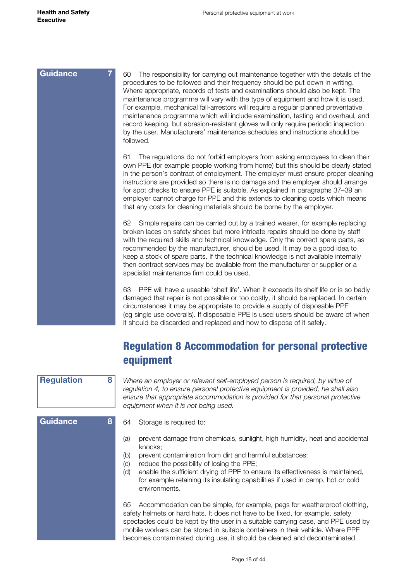<span id="page-17-0"></span>**Guidance 7**

60 The responsibility for carrying out maintenance together with the details of the procedures to be followed and their frequency should be put down in writing. Where appropriate, records of tests and examinations should also be kept. The maintenance programme will vary with the type of equipment and how it is used. For example, mechanical fall-arrestors will require a regular planned preventative maintenance programme which will include examination, testing and overhaul, and record keeping, but abrasion-resistant gloves will only require periodic inspection by the user. Manufacturers' maintenance schedules and instructions should be followed.

61 The regulations do not forbid employers from asking employees to clean their own PPE (for example people working from home) but this should be clearly stated in the person's contract of employment. The employer must ensure proper cleaning instructions are provided so there is no damage and the employer should arrange for spot checks to ensure PPE is suitable. As explained in paragraphs 37–39 an employer cannot charge for PPE and this extends to cleaning costs which means that any costs for cleaning materials should be borne by the employer.

62 Simple repairs can be carried out by a trained wearer, for example replacing broken laces on safety shoes but more intricate repairs should be done by staff with the required skills and technical knowledge. Only the correct spare parts, as recommended by the manufacturer, should be used. It may be a good idea to keep a stock of spare parts. If the technical knowledge is not available internally then contract services may be available from the manufacturer or supplier or a specialist maintenance firm could be used.

63 PPE will have a useable 'shelf life'. When it exceeds its shelf life or is so badly damaged that repair is not possible or too costly, it should be replaced. In certain circumstances it may be appropriate to provide a supply of disposable PPE (eg single use coveralls). If disposable PPE is used users should be aware of when it should be discarded and replaced and how to dispose of it safely.

#### Regulation 8 Accommodation for personal protective equipment

| <b>Regulation</b> | 8 | Where an employer or relevant self-employed person is required, by virtue of<br>regulation 4, to ensure personal protective equipment is provided, he shall also<br>ensure that appropriate accommodation is provided for that personal protective<br>equipment when it is not being used.                                                                                                                                                                                                         |
|-------------------|---|----------------------------------------------------------------------------------------------------------------------------------------------------------------------------------------------------------------------------------------------------------------------------------------------------------------------------------------------------------------------------------------------------------------------------------------------------------------------------------------------------|
| <b>Guidance</b>   | 8 | Storage is required to:<br>64                                                                                                                                                                                                                                                                                                                                                                                                                                                                      |
|                   |   | prevent damage from chemicals, sunlight, high humidity, heat and accidental<br>(a)<br>knocks;<br>prevent contamination from dirt and harmful substances;<br>(b)<br>reduce the possibility of losing the PPE;<br>(C)<br>enable the sufficient drying of PPE to ensure its effectiveness is maintained,<br>(d)<br>for example retaining its insulating capabilities if used in damp, hot or cold<br>environments.<br>Accommodation can be simple, for example, pegs for weatherproof clothing,<br>65 |
|                   |   | safety helmets or hard hats. It does not have to be fixed, for example, safety<br>spectacles could be kept by the user in a suitable carrying case, and PPE used by<br>mobile workers can be stored in suitable containers in their vehicle. Where PPE<br>becomes contaminated during use, it should be cleaned and decontaminated                                                                                                                                                                 |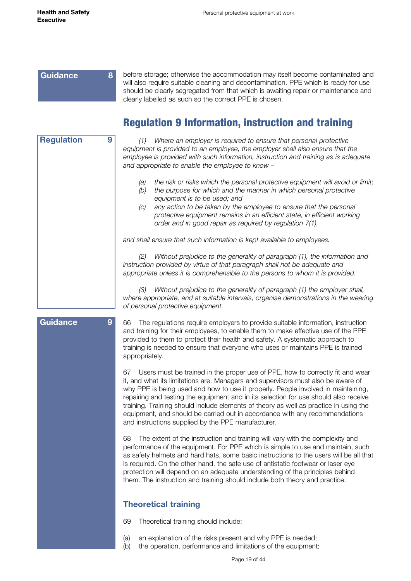#### <span id="page-18-0"></span>before storage; otherwise the accommodation may itself become contaminated and will also require suitable cleaning and decontamination. PPE which is ready for use should be clearly segregated from that which is awaiting repair or maintenance and clearly labelled as such so the correct PPE is chosen. **Guidance 8**

#### Regulation 9 Information, instruction and training

| 9<br><b>Regulation</b> | Where an employer is required to ensure that personal protective<br>(1)<br>equipment is provided to an employee, the employer shall also ensure that the<br>employee is provided with such information, instruction and training as is adequate<br>and appropriate to enable the employee to know -                                                                                                                    |
|------------------------|------------------------------------------------------------------------------------------------------------------------------------------------------------------------------------------------------------------------------------------------------------------------------------------------------------------------------------------------------------------------------------------------------------------------|
|                        | the risk or risks which the personal protective equipment will avoid or limit;<br>(a)<br>the purpose for which and the manner in which personal protective<br>(b)<br>equipment is to be used; and<br>any action to be taken by the employee to ensure that the personal<br>(C)<br>protective equipment remains in an efficient state, in efficient working<br>order and in good repair as required by regulation 7(1), |
|                        | and shall ensure that such information is kept available to employees.                                                                                                                                                                                                                                                                                                                                                 |
|                        | Without prejudice to the generality of paragraph (1), the information and<br>(2)<br>instruction provided by virtue of that paragraph shall not be adequate and<br>appropriate unless it is comprehensible to the persons to whom it is provided.                                                                                                                                                                       |
|                        | Without prejudice to the generality of paragraph (1) the employer shall,<br>(3)<br>where appropriate, and at suitable intervals, organise demonstrations in the wearing<br>of personal protective equipment.                                                                                                                                                                                                           |
| <b>Guidance</b><br>9   | The regulations require employers to provide suitable information, instruction<br>66<br>and training for their employees, to enable them to make effective use of the PPE<br>provided to them to protect their health and safety. A systematic approach to<br>training is needed to ensure that everyone who uses or maintains PPE is trained<br>appropriately.                                                        |
|                        | Users must be trained in the proper use of PPE, how to correctly fit and wear<br>67<br>it, and what its limitations are. Managers and supervisors must also be aware of<br>why PPE is being used and how to use it properly. People involved in maintaining,                                                                                                                                                           |

repairing and testing the equipment and in its selection for use should also receive training. Training should include elements of theory as well as practice in using the equipment, and should be carried out in accordance with any recommendations and instructions supplied by the PPE manufacturer.

68 The extent of the instruction and training will vary with the complexity and performance of the equipment. For PPE which is simple to use and maintain, such as safety helmets and hard hats, some basic instructions to the users will be all that is required. On the other hand, the safe use of antistatic footwear or laser eye protection will depend on an adequate understanding of the principles behind them. The instruction and training should include both theory and practice.

#### **Theoretical training**

- 69 Theoretical training should include:
- (a) an explanation of the risks present and why PPE is needed;
- (b) the operation, performance and limitations of the equipment;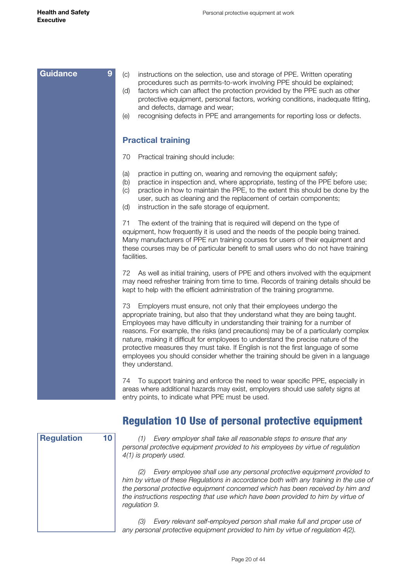<span id="page-19-0"></span>

| 9<br><b>Guidance</b> | instructions on the selection, use and storage of PPE. Written operating<br>(C)<br>procedures such as permits-to-work involving PPE should be explained;<br>factors which can affect the protection provided by the PPE such as other<br>(d)<br>protective equipment, personal factors, working conditions, inadequate fitting,<br>and defects, damage and wear;<br>recognising defects in PPE and arrangements for reporting loss or defects.<br>(e)                                                                                                                                                             |
|----------------------|-------------------------------------------------------------------------------------------------------------------------------------------------------------------------------------------------------------------------------------------------------------------------------------------------------------------------------------------------------------------------------------------------------------------------------------------------------------------------------------------------------------------------------------------------------------------------------------------------------------------|
|                      | <b>Practical training</b>                                                                                                                                                                                                                                                                                                                                                                                                                                                                                                                                                                                         |
|                      | Practical training should include:<br>70                                                                                                                                                                                                                                                                                                                                                                                                                                                                                                                                                                          |
|                      | practice in putting on, wearing and removing the equipment safely;<br>(a)<br>practice in inspection and, where appropriate, testing of the PPE before use;<br>(b)<br>practice in how to maintain the PPE, to the extent this should be done by the<br>(c)<br>user, such as cleaning and the replacement of certain components;<br>(d)<br>instruction in the safe storage of equipment.                                                                                                                                                                                                                            |
|                      | 71<br>The extent of the training that is required will depend on the type of<br>equipment, how frequently it is used and the needs of the people being trained.<br>Many manufacturers of PPE run training courses for users of their equipment and<br>these courses may be of particular benefit to small users who do not have training<br>facilities.                                                                                                                                                                                                                                                           |
|                      | As well as initial training, users of PPE and others involved with the equipment<br>72<br>may need refresher training from time to time. Records of training details should be<br>kept to help with the efficient administration of the training programme.                                                                                                                                                                                                                                                                                                                                                       |
|                      | Employers must ensure, not only that their employees undergo the<br>73<br>appropriate training, but also that they understand what they are being taught.<br>Employees may have difficulty in understanding their training for a number of<br>reasons. For example, the risks (and precautions) may be of a particularly complex<br>nature, making it difficult for employees to understand the precise nature of the<br>protective measures they must take. If English is not the first language of some<br>employees you should consider whether the training should be given in a language<br>they understand. |
|                      | To support training and enforce the need to wear specific PPE, especially in<br>74<br>areas where additional hazards may exist, employers should use safety signs at<br>entry points, to indicate what PPE must be used.                                                                                                                                                                                                                                                                                                                                                                                          |

#### Regulation 10 Use of personal protective equipment

# **Regulation 10**

*(1) Every employer shall take all reasonable steps to ensure that any personal protective equipment provided to his employees by virtue of regulation 4(1) is properly used.* 

*(2) Every employee shall use any personal protective equipment provided to him by virtue of these Regulations in accordance both with any training in the use of the personal protective equipment concerned which has been received by him and the instructions respecting that use which have been provided to him by virtue of regulation 9.* 

*(3) Every relevant self-employed person shall make full and proper use of any personal protective equipment provided to him by virtue of regulation 4(2).*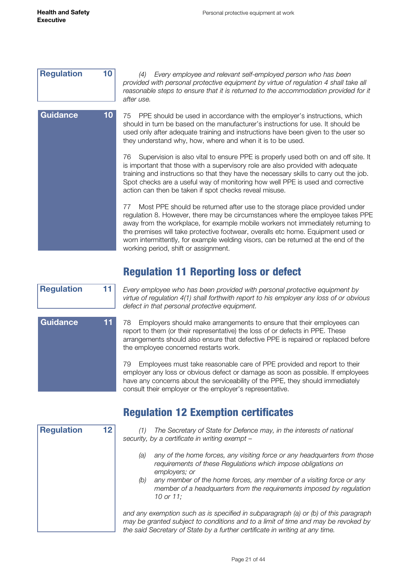#### <span id="page-20-0"></span>**Regulation 10**

**Guidance 10**

*(4) Every employee and relevant self-employed person who has been provided with personal protective equipment by virtue of regulation 4 shall take all*  reasonable steps to ensure that it is returned to the accommodation provided for it *after use.* 

75 PPE should be used in accordance with the employer's instructions, which should in turn be based on the manufacturer's instructions for use. It should be used only after adequate training and instructions have been given to the user so they understand why, how, where and when it is to be used.

76 Supervision is also vital to ensure PPE is properly used both on and off site. It is important that those with a supervisory role are also provided with adequate training and instructions so that they have the necessary skills to carry out the job. Spot checks are a useful way of monitoring how well PPE is used and corrective action can then be taken if spot checks reveal misuse.

77 Most PPE should be returned after use to the storage place provided under regulation 8. However, there may be circumstances where the employee takes PPE away from the workplace, for example mobile workers not immediately returning to the premises will take protective footwear, overalls etc home. Equipment used or worn intermittently, for example welding visors, can be returned at the end of the working period, shift or assignment.

#### Regulation 11 Reporting loss or defect



*Every employee who has been provided with personal protective equipment by virtue of regulation 4(1) shall forthwith report to his employer any loss of or obvious defect in that personal protective equipment.*

78 Employers should make arrangements to ensure that their employees can report to them (or their representative) the loss of or defects in PPE. These arrangements should also ensure that defective PPE is repaired or replaced before the employee concerned restarts work.

79 Employees must take reasonable care of PPE provided and report to their employer any loss or obvious defect or damage as soon as possible. If employees have any concerns about the serviceability of the PPE, they should immediately consult their employer or the employer's representative.

#### Regulation 12 Exemption certificates

| <b>Regulation</b> | 12 <sub>2</sub> | The Secretary of State for Defence may, in the interests of national<br>security, by a certificate in writing exempt -                                                                                                                                                                                                    |
|-------------------|-----------------|---------------------------------------------------------------------------------------------------------------------------------------------------------------------------------------------------------------------------------------------------------------------------------------------------------------------------|
|                   |                 | any of the home forces, any visiting force or any headquarters from those<br>(a)<br>requirements of these Regulations which impose obligations on<br>employers; or<br>any member of the home forces, any member of a visiting force or any<br>(b)<br>member of a headquarters from the requirements imposed by regulation |
|                   |                 | 10 or 11;<br>and any exemption such as is specified in subparagraph (a) or (b) of this paragraph<br>may be granted subject to conditions and to a limit of time and may be revoked by<br>the said Secretary of State by a further certificate in writing at any time.                                                     |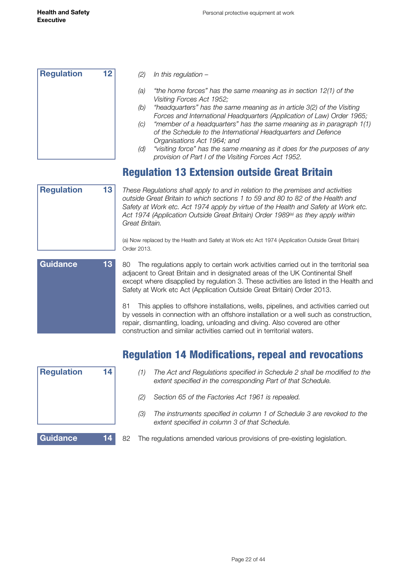<span id="page-21-0"></span>

| 12  | In this regulation $-$                                                                                                                         |
|-----|------------------------------------------------------------------------------------------------------------------------------------------------|
| (a) | "the home forces" has the same meaning as in section 12(1) of the<br>Visiting Forces Act 1952;                                                 |
| (b) | "headquarters" has the same meaning as in article 3(2) of the Visiting                                                                         |
|     | Forces and International Headquarters (Application of Law) Order 1965;<br>"member of a headquarters" has the same meaning as in paragraph 1(1) |
|     | of the Schedule to the International Headquarters and Defence                                                                                  |
|     | Organisations Act 1964; and                                                                                                                    |
| (d) | "visiting force" has the same meaning as it does for the purposes of any<br>provision of Part I of the Visiting Forces Act 1952.               |
|     | (C)                                                                                                                                            |

#### Regulation 13 Extension outside Great Britain

| <b>Regulation</b> | 13 | These Regulations shall apply to and in relation to the premises and activities<br>outside Great Britain to which sections 1 to 59 and 80 to 82 of the Health and<br>Safety at Work etc. Act 1974 apply by virtue of the Health and Safety at Work etc.<br>Act 1974 (Application Outside Great Britain) Order 1989 <sup>(a)</sup> as they apply within<br>Great Britain. |
|-------------------|----|--------------------------------------------------------------------------------------------------------------------------------------------------------------------------------------------------------------------------------------------------------------------------------------------------------------------------------------------------------------------------|
|                   |    | (a) Now replaced by the Health and Safety at Work etc Act 1974 (Application Outside Great Britain)<br>Order 2013.                                                                                                                                                                                                                                                        |
| <b>Guidance</b>   | 13 | The regulations apply to certain work activities carried out in the territorial sea<br>80<br>adjacent to Great Britain and in designated areas of the UK Continental Shelf<br>except where disapplied by regulation 3. These activities are listed in the Health and<br>Safety at Work etc Act (Application Outside Great Britain) Order 2013.                           |

81 This applies to offshore installations, wells, pipelines, and activities carried out by vessels in connection with an offshore installation or a well such as construction, repair, dismantling, loading, unloading and diving. Also covered are other construction and similar activities carried out in territorial waters.

## **Regulation 14 Guidance 14**

- Regulation 14 Modifications, repeal and revocations
	- *(1) The Act and Regulations specified in Schedule 2 shall be modified to the extent specified in the corresponding Part of that Schedule.*
	- *(2) Section 65 of the Factories Act 1961 is repealed.*
	- *(3) The instruments specified in column 1 of Schedule 3 are revoked to the extent specified in column 3 of that Schedule.*
- 82 The regulations amended various provisions of pre-existing legislation.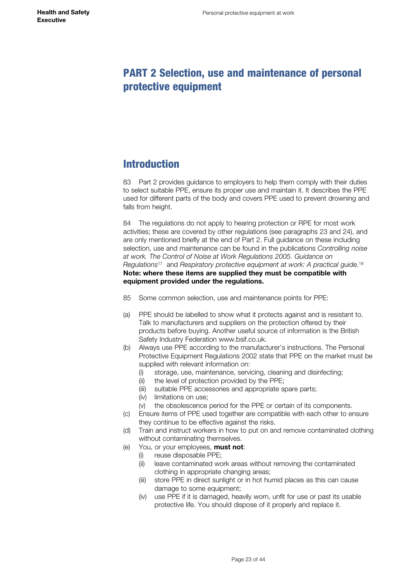#### <span id="page-22-0"></span>PART 2 Selection, use and maintenance of personal protective equipment

#### Introduction

83 Part 2 provides guidance to employers to help them comply with their duties to select suitable PPE, ensure its proper use and maintain it. It describes the PPE used for different parts of the body and covers PPE used to prevent drowning and falls from height.

84 The regulations do not apply to hearing protection or RPE for most work activities; these are covered by other regulations (see paragraphs 23 and 24), and are only mentioned briefly at the end of Part 2. Full guidance on these including selection, use and maintenance can be found in the publications *Controlling noise at work. The Control of Noise at Work Regulations 2005. Guidance on Regulations*17 and *Respiratory protective equipment at work: A practical guide.*<sup>18</sup> **Note: where these items are supplied they must be compatible with equipment provided under the regulations.**

- 85 Some common selection, use and maintenance points for PPE:
- (a) PPE should be labelled to show what it protects against and is resistant to. Talk to manufacturers and suppliers on the protection offered by their products before buying. Another useful source of information is the British Safety Industry Federation [www.bsif.co.uk.](http://www.bsif.co.uk)
- (b) Always use PPE according to the manufacturer's instructions. The Personal Protective Equipment Regulations 2002 state that PPE on the market must be supplied with relevant information on:
	- (i) storage, use, maintenance, servicing, cleaning and disinfecting;
	- (ii) the level of protection provided by the PPE;
	- (iii) suitable PPE accessories and appropriate spare parts;
	- (iv) limitations on use;
	- (v) the obsolescence period for the PPE or certain of its components.
- (c) Ensure items of PPE used together are compatible with each other to ensure they continue to be effective against the risks.
- (d) Train and instruct workers in how to put on and remove contaminated clothing without contaminating themselves.
- (e) You, or your employees, **must not**:
	- (i) reuse disposable PPE;
	- (ii) leave contaminated work areas without removing the contaminated clothing in appropriate changing areas;
	- (iii) store PPE in direct sunlight or in hot humid places as this can cause damage to some equipment;
	- (iv) use PPE if it is damaged, heavily worn, unfit for use or past its usable protective life. You should dispose of it properly and replace it.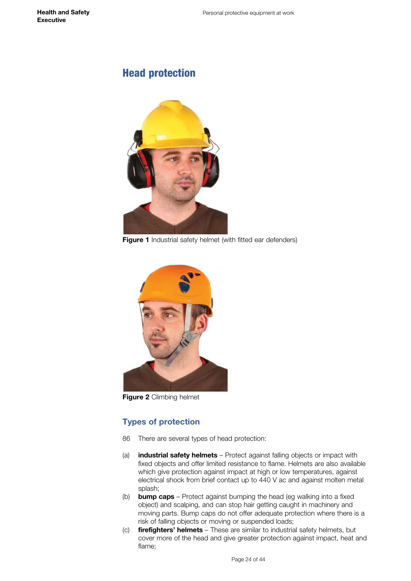#### <span id="page-23-0"></span>Head protection



**Figure 1** Industrial safety helmet (with fitted ear defenders)



**Figure 2** Climbing helmet

#### **Types of protection**

- 86 There are several types of head protection:
- (a) **industrial safety helmets** Protect against falling objects or impact with fixed objects and offer limited resistance to flame. Helmets are also available which give protection against impact at high or low temperatures, against electrical shock from brief contact up to 440 V ac and against molten metal splash;
- (b) **bump caps** Protect against bumping the head (eg walking into a fixed object) and scalping, and can stop hair getting caught in machinery and moving parts. Bump caps do not offer adequate protection where there is a risk of falling objects or moving or suspended loads;
- (c) **firefighters' helmets** These are similar to industrial safety helmets, but cover more of the head and give greater protection against impact, heat and flame;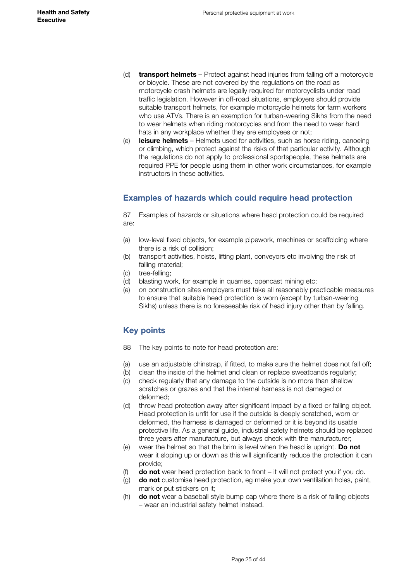- (d) **transport helmets** Protect against head injuries from falling off a motorcycle or bicycle. These are not covered by the regulations on the road as motorcycle crash helmets are legally required for motorcyclists under road traffic legislation. However in off-road situations, employers should provide suitable transport helmets, for example motorcycle helmets for farm workers who use ATVs. There is an exemption for turban-wearing Sikhs from the need to wear helmets when riding motorcycles and from the need to wear hard hats in any workplace whether they are employees or not;
- (e) **leisure helmets** Helmets used for activities, such as horse riding, canoeing or climbing, which protect against the risks of that particular activity. Although the regulations do not apply to professional sportspeople, these helmets are required PPE for people using them in other work circumstances, for example instructors in these activities.

#### **Examples of hazards which could require head protection**

87 Examples of hazards or situations where head protection could be required are:

- (a) low-level fixed objects, for example pipework, machines or scaffolding where there is a risk of collision;
- (b) transport activities, hoists, lifting plant, conveyors etc involving the risk of falling material;
- (c) tree-felling;
- (d) blasting work, for example in quarries, opencast mining etc;
- (e) on construction sites employers must take all reasonably practicable measures to ensure that suitable head protection is worn (except by turban-wearing Sikhs) unless there is no foreseeable risk of head injury other than by falling.

- 88 The key points to note for head protection are:
- (a) use an adjustable chinstrap, if fitted, to make sure the helmet does not fall off;
- (b) clean the inside of the helmet and clean or replace sweatbands regularly;
- (c) check regularly that any damage to the outside is no more than shallow scratches or grazes and that the internal harness is not damaged or deformed;
- (d) throw head protection away after significant impact by a fixed or falling object. Head protection is unfit for use if the outside is deeply scratched, worn or deformed, the harness is damaged or deformed or it is beyond its usable protective life. As a general guide, industrial safety helmets should be replaced three years after manufacture, but always check with the manufacturer;
- (e) wear the helmet so that the brim is level when the head is upright. **Do not** wear it sloping up or down as this will significantly reduce the protection it can provide;
- (f) **do not** wear head protection back to front it will not protect you if you do.
- (g) **do not** customise head protection, eg make your own ventilation holes, paint, mark or put stickers on it;
- (h) **do not** wear a baseball style bump cap where there is a risk of falling objects – wear an industrial safety helmet instead.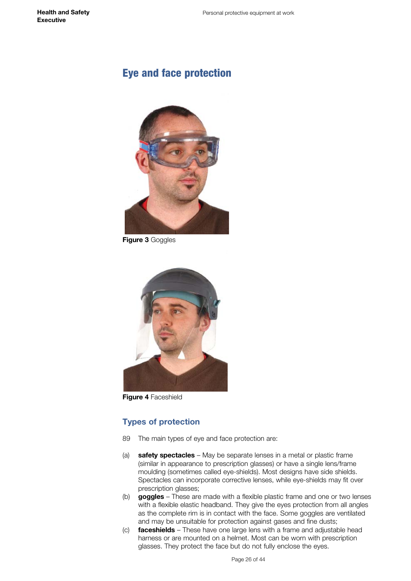#### <span id="page-25-0"></span>Eye and face protection



**Figure 3** Goggles



**Figure 4** Faceshield

#### **Types of protection**

- 89 The main types of eye and face protection are:
- (a) **safety spectacles** May be separate lenses in a metal or plastic frame (similar in appearance to prescription glasses) or have a single lens/frame moulding (sometimes called eye-shields). Most designs have side shields. Spectacles can incorporate corrective lenses, while eye-shields may fit over prescription glasses;
- (b) **goggles** These are made with a flexible plastic frame and one or two lenses with a flexible elastic headband. They give the eyes protection from all angles as the complete rim is in contact with the face. Some goggles are ventilated and may be unsuitable for protection against gases and fine dusts;
- (c) **faceshields** These have one large lens with a frame and adjustable head harness or are mounted on a helmet. Most can be worn with prescription glasses. They protect the face but do not fully enclose the eyes.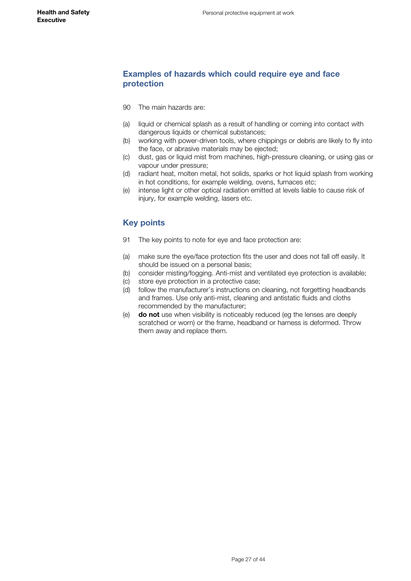#### **Examples of hazards which could require eye and face protection**

- 90 The main hazards are:
- (a) liquid or chemical splash as a result of handling or coming into contact with dangerous liquids or chemical substances;
- (b) working with power-driven tools, where chippings or debris are likely to fly into the face, or abrasive materials may be ejected;
- (c) dust, gas or liquid mist from machines, high-pressure cleaning, or using gas or vapour under pressure;
- (d) radiant heat, molten metal, hot solids, sparks or hot liquid splash from working in hot conditions, for example welding, ovens, furnaces etc;
- (e) intense light or other optical radiation emitted at levels liable to cause risk of injury, for example welding, lasers etc.

- 91 The key points to note for eye and face protection are:
- (a) make sure the eye/face protection fits the user and does not fall off easily. It should be issued on a personal basis;
- (b) consider misting/fogging. Anti-mist and ventilated eye protection is available;
- (c) store eye protection in a protective case;
- (d) follow the manufacturer's instructions on cleaning, not forgetting headbands and frames. Use only anti-mist, cleaning and antistatic fluids and cloths recommended by the manufacturer;
- (e) **do not** use when visibility is noticeably reduced (eg the lenses are deeply scratched or worn) or the frame, headband or harness is deformed. Throw them away and replace them.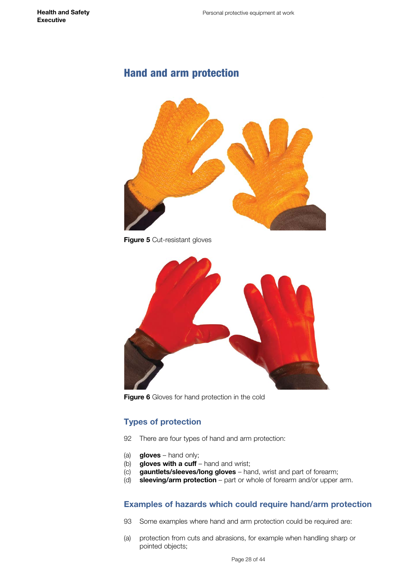#### <span id="page-27-0"></span>Hand and arm protection



**Figure 5** Cut-resistant gloves



**Figure 6** Gloves for hand protection in the cold

#### **Types of protection**

- 92 There are four types of hand and arm protection:
- (a) **gloves** hand only;
- (b) gloves with a cuff hand and wrist;
- (c) **gauntlets/sleeves/long gloves** hand, wrist and part of forearm;
- (d) **sleeving/arm protection** part or whole of forearm and/or upper arm.

#### **Examples of hazards which could require hand/arm protection**

- 93 Some examples where hand and arm protection could be required are:
- (a) protection from cuts and abrasions, for example when handling sharp or pointed objects;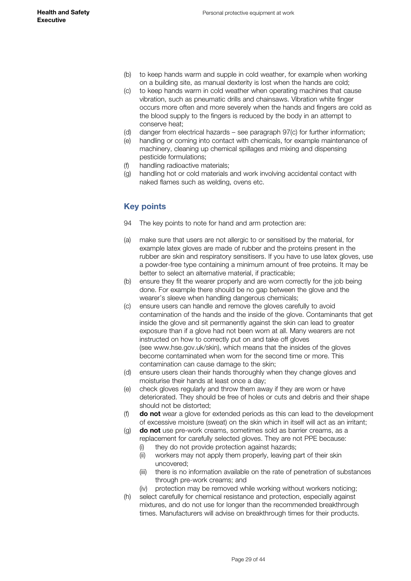- (b) to keep hands warm and supple in cold weather, for example when working on a building site, as manual dexterity is lost when the hands are cold;
- (c) to keep hands warm in cold weather when operating machines that cause vibration, such as pneumatic drills and chainsaws. Vibration white finger occurs more often and more severely when the hands and fingers are cold as the blood supply to the fingers is reduced by the body in an attempt to conserve heat;
- (d) danger from electrical hazards see paragraph 97(c) for further information;
- (e) handling or coming into contact with chemicals, for example maintenance of machinery, cleaning up chemical spillages and mixing and dispensing pesticide formulations;
- (f) handling radioactive materials;
- (g) handling hot or cold materials and work involving accidental contact with naked flames such as welding, ovens etc.

- 94 The key points to note for hand and arm protection are:
- (a) make sure that users are not allergic to or sensitised by the material, for example latex gloves are made of rubber and the proteins present in the rubber are skin and respiratory sensitisers. If you have to use latex gloves, use a powder-free type containing a minimum amount of free proteins. It may be better to select an alternative material, if practicable;
- (b) ensure they fit the wearer properly and are worn correctly for the job being done. For example there should be no gap between the glove and the wearer's sleeve when handling dangerous chemicals;
- (c) ensure users can handle and remove the gloves carefully to avoid contamination of the hands and the inside of the glove. Contaminants that get inside the glove and sit permanently against the skin can lead to greater exposure than if a glove had not been worn at all. Many wearers are not instructed on how to correctly put on and take off gloves (see [www.hse.gov.uk/skin](http://www.hse.gov.uk/skin)), which means that the insides of the gloves become contaminated when worn for the second time or more. This contamination can cause damage to the skin;
- (d) ensure users clean their hands thoroughly when they change gloves and moisturise their hands at least once a day;
- (e) check gloves regularly and throw them away if they are worn or have deteriorated. They should be free of holes or cuts and debris and their shape should not be distorted;
- (f) **do not** wear a glove for extended periods as this can lead to the development of excessive moisture (sweat) on the skin which in itself will act as an irritant;
- (g) **do not** use pre-work creams, sometimes sold as barrier creams, as a replacement for carefully selected gloves. They are not PPE because:
	- (i) they do not provide protection against hazards;
	- (ii) workers may not apply them properly, leaving part of their skin uncovered;
	- (iii) there is no information available on the rate of penetration of substances through pre-work creams; and
	- (iv) protection may be removed while working without workers noticing;
- (h) select carefully for chemical resistance and protection, especially against mixtures, and do not use for longer than the recommended breakthrough times. Manufacturers will advise on breakthrough times for their products.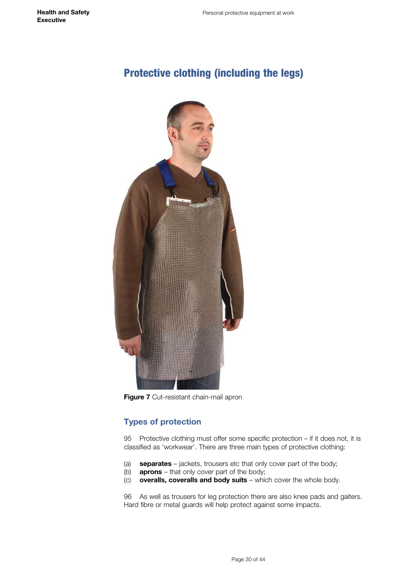#### <span id="page-29-0"></span>Protective clothing (including the legs)



**Figure 7** Cut-resistant chain-mail apron

#### **Types of protection**

95 Protective clothing must offer some specific protection – if it does not, it is classified as 'workwear'. There are three main types of protective clothing:

- (a) **separates** jackets, trousers etc that only cover part of the body;
- (b) **aprons** that only cover part of the body;
- (c) **overalls, coveralls and body suits** which cover the whole body.

96 As well as trousers for leg protection there are also knee pads and gaiters. Hard fibre or metal guards will help protect against some impacts.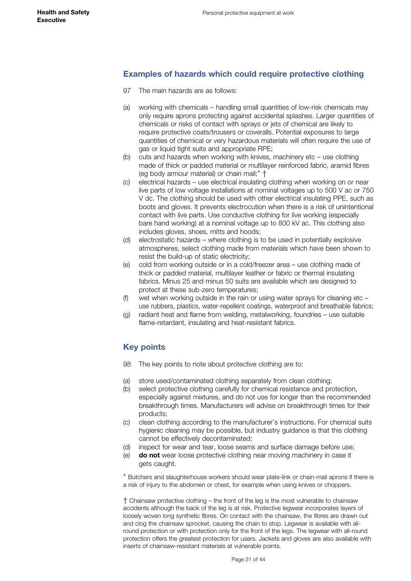#### **Examples of hazards which could require protective clothing**

- 97 The main hazards are as follows:
- (a) working with chemicals handling small quantities of low-risk chemicals may only require aprons protecting against accidental splashes. Larger quantities of chemicals or risks of contact with sprays or jets of chemical are likely to require protective coats/trousers or coveralls. Potential exposures to large quantities of chemical or very hazardous materials will often require the use of gas or liquid tight suits and appropriate RPE;
- (b) cuts and hazards when working with knives, machinery etc use clothing made of thick or padded material or multilayer reinforced fabric, aramid fibres (eg body armour material) or chain mail;\* †
- (c) electrical hazards use electrical insulating clothing when working on or near live parts of low voltage installations at nominal voltages up to 500 V ac or 750 V dc. The clothing should be used with other electrical insulating PPE, such as boots and gloves. It prevents electrocution when there is a risk of unintentional contact with live parts. Use conductive clothing for live working (especially bare hand working) at a nominal voltage up to 800 kV ac. This clothing also includes gloves, shoes, mitts and hoods;
- (d) electrostatic hazards where clothing is to be used in potentially explosive atmospheres, select clothing made from materials which have been shown to resist the build-up of static electricity;
- (e) cold from working outside or in a cold/freezer area use clothing made of thick or padded material, multilayer leather or fabric or thermal insulating fabrics. Minus 25 and minus 50 suits are available which are designed to protect at these sub-zero temperatures;
- (f) wet when working outside in the rain or using water sprays for cleaning etc use rubbers, plastics, water-repellent coatings, waterproof and breathable fabrics;
- (g) radiant heat and flame from welding, metalworking, foundries use suitable flame-retardant, insulating and heat-resistant fabrics.

#### **Key points**

- 98 The key points to note about protective clothing are to:
- (a) store used/contaminated clothing separately from clean clothing;
- (b) select protective clothing carefully for chemical resistance and protection, especially against mixtures, and do not use for longer than the recommended breakthrough times. Manufacturers will advise on breakthrough times for their products;
- (c) clean clothing according to the manufacturer's instructions. For chemical suits hygienic cleaning may be possible, but industry guidance is that this clothing cannot be effectively decontaminated;
- (d) inspect for wear and tear, loose seams and surface damage before use;
- (e) **do not** wear loose protective clothing near moving machinery in case it gets caught.

\* Butchers and slaughterhouse workers should wear plate-link or chain-mail aprons if there is a risk of injury to the abdomen or chest, for example when using knives or choppers.

† Chainsaw protective clothing – the front of the leg is the most vulnerable to chainsaw accidents although the back of the leg is at risk. Protective legwear incorporates layers of loosely woven long synthetic fibres. On contact with the chainsaw, the fibres are drawn out and clog the chainsaw sprocket, causing the chain to stop. Legwear is available with allround protection or with protection only for the front of the legs. The legwear with all-round protection offers the greatest protection for users. Jackets and gloves are also available with inserts of chainsaw-resistant materials at vulnerable points.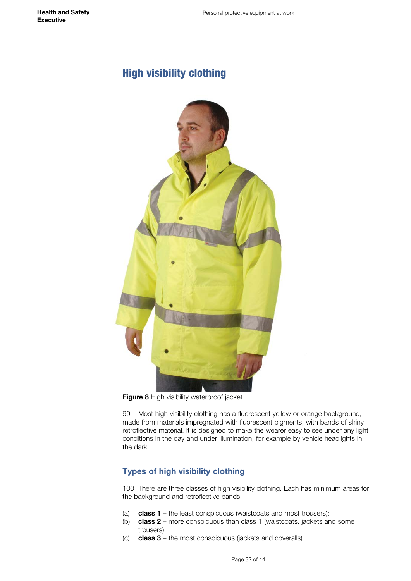#### <span id="page-31-0"></span>High visibility clothing



**Figure 8** High visibility waterproof jacket

99 Most high visibility clothing has a fluorescent yellow or orange background, made from materials impregnated with fluorescent pigments, with bands of shiny retroflective material. It is designed to make the wearer easy to see under any light conditions in the day and under illumination, for example by vehicle headlights in the dark.

#### **Types of high visibility clothing**

100 There are three classes of high visibility clothing. Each has minimum areas for the background and retroflective bands:

- (a) **class 1** the least conspicuous (waistcoats and most trousers);
- (b) **class 2** more conspicuous than class 1 (waistcoats, jackets and some trousers);
- (c) **class 3** the most conspicuous (jackets and coveralls).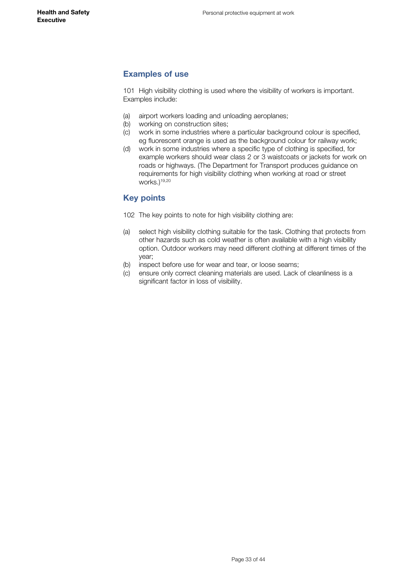#### **Examples of use**

101 High visibility clothing is used where the visibility of workers is important. Examples include:

- (a) airport workers loading and unloading aeroplanes;
- (b) working on construction sites;
- (c) work in some industries where a particular background colour is specified, eg fluorescent orange is used as the background colour for railway work;
- (d) work in some industries where a specific type of clothing is specified, for example workers should wear class 2 or 3 waistcoats or jackets for work on roads or highways. (The Department for Transport produces guidance on requirements for high visibility clothing when working at road or street works.)19,20

- 102 The key points to note for high visibility clothing are:
- (a) select high visibility clothing suitable for the task. Clothing that protects from other hazards such as cold weather is often available with a high visibility option. Outdoor workers may need different clothing at different times of the year;
- (b) inspect before use for wear and tear, or loose seams;
- (c) ensure only correct cleaning materials are used. Lack of cleanliness is a significant factor in loss of visibility.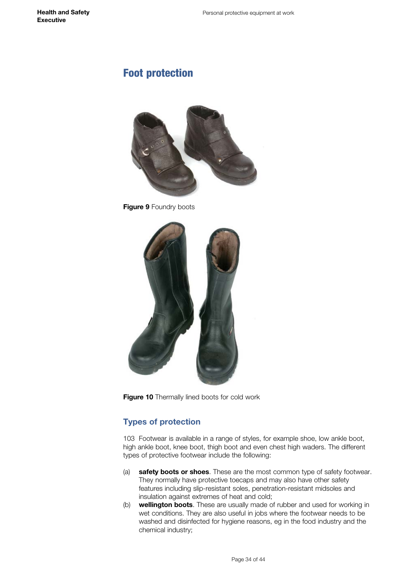#### <span id="page-33-0"></span>Foot protection



**Figure 9** Foundry boots



**Figure 10** Thermally lined boots for cold work

#### **Types of protection**

103 Footwear is available in a range of styles, for example shoe, low ankle boot, high ankle boot, knee boot, thigh boot and even chest high waders. The different types of protective footwear include the following:

- (a) **safety boots or shoes**. These are the most common type of safety footwear. They normally have protective toecaps and may also have other safety features including slip-resistant soles, penetration-resistant midsoles and insulation against extremes of heat and cold;
- (b) **wellington boots**. These are usually made of rubber and used for working in wet conditions. They are also useful in jobs where the footwear needs to be washed and disinfected for hygiene reasons, eg in the food industry and the chemical industry;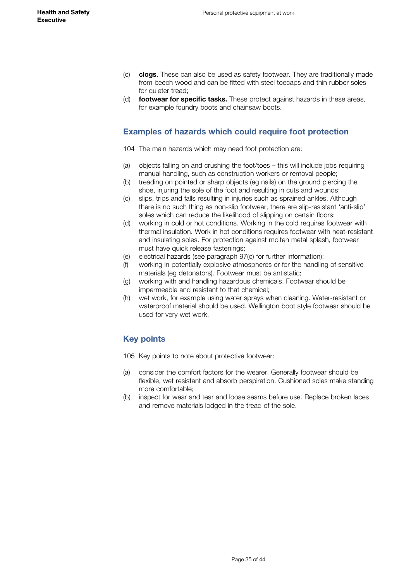- (c) **clogs**. These can also be used as safety footwear. They are traditionally made from beech wood and can be fitted with steel toecaps and thin rubber soles for quieter tread:
- (d) **footwear for specific tasks.** These protect against hazards in these areas, for example foundry boots and chainsaw boots.

#### **Examples of hazards which could require foot protection**

- 104 The main hazards which may need foot protection are:
- (a) objects falling on and crushing the foot/toes this will include jobs requiring manual handling, such as construction workers or removal people;
- (b) treading on pointed or sharp objects (eg nails) on the ground piercing the shoe, injuring the sole of the foot and resulting in cuts and wounds;
- (c) slips, trips and falls resulting in injuries such as sprained ankles. Although there is no such thing as non-slip footwear, there are slip-resistant 'anti-slip' soles which can reduce the likelihood of slipping on certain floors;
- (d) working in cold or hot conditions. Working in the cold requires footwear with thermal insulation. Work in hot conditions requires footwear with heat-resistant and insulating soles. For protection against molten metal splash, footwear must have quick release fastenings;
- (e) electrical hazards (see paragraph 97(c) for further information);
- (f) working in potentially explosive atmospheres or for the handling of sensitive materials (eg detonators). Footwear must be antistatic;
- (g) working with and handling hazardous chemicals. Footwear should be impermeable and resistant to that chemical;
- (h) wet work, for example using water sprays when cleaning. Water-resistant or waterproof material should be used. Wellington boot style footwear should be used for very wet work.

- 105 Key points to note about protective footwear:
- (a) consider the comfort factors for the wearer. Generally footwear should be flexible, wet resistant and absorb perspiration. Cushioned soles make standing more comfortable;
- (b) inspect for wear and tear and loose seams before use. Replace broken laces and remove materials lodged in the tread of the sole.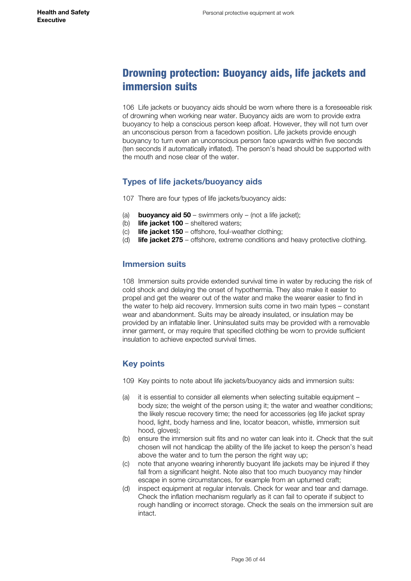#### <span id="page-35-0"></span>Drowning protection: Buoyancy aids, life jackets and immersion suits

106 Life jackets or buoyancy aids should be worn where there is a foreseeable risk of drowning when working near water. Buoyancy aids are worn to provide extra buoyancy to help a conscious person keep afloat. However, they will not turn over an unconscious person from a facedown position. Life jackets provide enough buoyancy to turn even an unconscious person face upwards within five seconds (ten seconds if automatically inflated). The person's head should be supported with the mouth and nose clear of the water.

#### **Types of life jackets/buoyancy aids**

- 107 There are four types of life jackets/buoyancy aids:
- (a) **buoyancy aid 50** swimmers only (not a life jacket);
- (b) **life jacket 100** sheltered waters;
- (c) **life jacket 150**  offshore, foul-weather clothing;
- (d) **life jacket 275** offshore, extreme conditions and heavy protective clothing.

#### **Immersion suits**

108 Immersion suits provide extended survival time in water by reducing the risk of cold shock and delaying the onset of hypothermia. They also make it easier to propel and get the wearer out of the water and make the wearer easier to find in the water to help aid recovery. Immersion suits come in two main types – constant wear and abandonment. Suits may be already insulated, or insulation may be provided by an inflatable liner. Uninsulated suits may be provided with a removable inner garment, or may require that specified clothing be worn to provide sufficient insulation to achieve expected survival times.

- 109 Key points to note about life jackets/buoyancy aids and immersion suits:
- (a) it is essential to consider all elements when selecting suitable equipment body size; the weight of the person using it; the water and weather conditions; the likely rescue recovery time; the need for accessories (eg life jacket spray hood, light, body harness and line, locator beacon, whistle, immersion suit hood, gloves);
- (b) ensure the immersion suit fits and no water can leak into it. Check that the suit chosen will not handicap the ability of the life jacket to keep the person's head above the water and to turn the person the right way up;
- (c) note that anyone wearing inherently buoyant life jackets may be injured if they fall from a significant height. Note also that too much buoyancy may hinder escape in some circumstances, for example from an upturned craft;
- (d) inspect equipment at regular intervals. Check for wear and tear and damage. Check the inflation mechanism regularly as it can fail to operate if subject to rough handling or incorrect storage. Check the seals on the immersion suit are intact.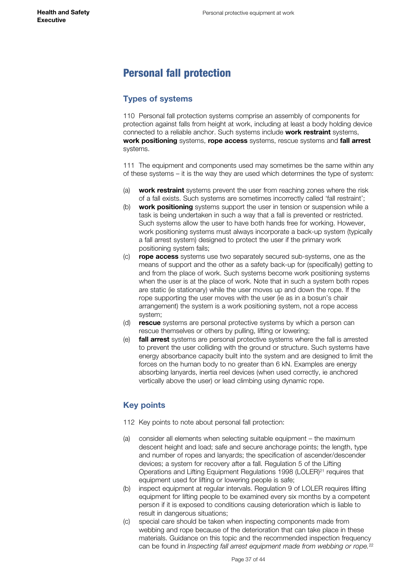#### <span id="page-36-0"></span>Personal fall protection

#### **Types of systems**

110 Personal fall protection systems comprise an assembly of components for protection against falls from height at work, including at least a body holding device connected to a reliable anchor. Such systems include **work restraint** systems, **work positioning** systems, **rope access** systems, rescue systems and **fall arrest** systems.

111 The equipment and components used may sometimes be the same within any of these systems – it is the way they are used which determines the type of system:

- (a) **work restraint** systems prevent the user from reaching zones where the risk of a fall exists. Such systems are sometimes incorrectly called 'fall restraint';
- (b) **work positioning** systems support the user in tension or suspension while a task is being undertaken in such a way that a fall is prevented or restricted. Such systems allow the user to have both hands free for working. However, work positioning systems must always incorporate a back-up system (typically a fall arrest system) designed to protect the user if the primary work positioning system fails;
- (c) **rope access** systems use two separately secured sub-systems, one as the means of support and the other as a safety back-up for (specifically) getting to and from the place of work. Such systems become work positioning systems when the user is at the place of work. Note that in such a system both ropes are static (ie stationary) while the user moves up and down the rope. If the rope supporting the user moves with the user (ie as in a bosun's chair arrangement) the system is a work positioning system, not a rope access system;
- (d) **rescue** systems are personal protective systems by which a person can rescue themselves or others by pulling, lifting or lowering;
- (e) **fall arrest** systems are personal protective systems where the fall is arrested to prevent the user colliding with the ground or structure. Such systems have energy absorbance capacity built into the system and are designed to limit the forces on the human body to no greater than 6 kN. Examples are energy absorbing lanyards, inertia reel devices (when used correctly, ie anchored vertically above the user) or lead climbing using dynamic rope.

- 112 Key points to note about personal fall protection:
- (a) consider all elements when selecting suitable equipment the maximum descent height and load; safe and secure anchorage points; the length, type and number of ropes and lanyards; the specification of ascender/descender devices; a system for recovery after a fall. Regulation 5 of the Lifting Operations and Lifting Equipment Regulations 1998 (LOLER)<sup>21</sup> requires that equipment used for lifting or lowering people is safe;
- (b) inspect equipment at regular intervals. Regulation 9 of LOLER requires lifting equipment for lifting people to be examined every six months by a competent person if it is exposed to conditions causing deterioration which is liable to result in dangerous situations;
- (c) special care should be taken when inspecting components made from webbing and rope because of the deterioration that can take place in these materials. Guidance on this topic and the recommended inspection frequency can be found in *Inspecting fall arrest equipment made from webbing or rope.*22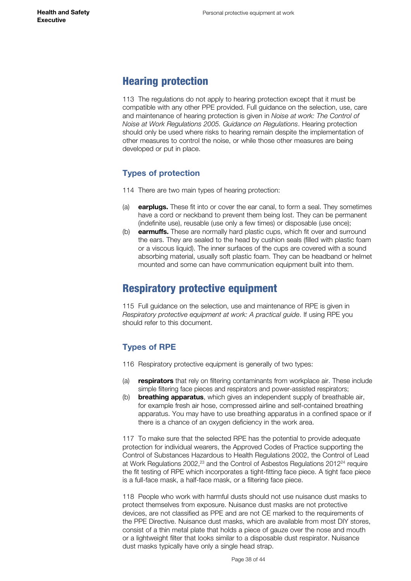#### <span id="page-37-0"></span>Hearing protection

113 The regulations do not apply to hearing protection except that it must be compatible with any other PPE provided. Full guidance on the selection, use, care and maintenance of hearing protection is given in *Noise at work: The Control of Noise at Work Regulations 2005. Guidance on Regulations*. Hearing protection should only be used where risks to hearing remain despite the implementation of other measures to control the noise, or while those other measures are being developed or put in place.

#### **Types of protection**

- 114 There are two main types of hearing protection:
- (a) **earplugs.** These fit into or cover the ear canal, to form a seal. They sometimes have a cord or neckband to prevent them being lost. They can be permanent (indefinite use), reusable (use only a few times) or disposable (use once);
- (b) **earmuffs.** These are normally hard plastic cups, which fit over and surround the ears. They are sealed to the head by cushion seals (filled with plastic foam or a viscous liquid). The inner surfaces of the cups are covered with a sound absorbing material, usually soft plastic foam. They can be headband or helmet mounted and some can have communication equipment built into them.

#### Respiratory protective equipment

115 Full guidance on the selection, use and maintenance of RPE is given in *Respiratory protective equipment at work: A practical guide*. If using RPE you should refer to this document.

#### **Types of RPE**

- 116 Respiratory protective equipment is generally of two types:
- (a) **respirators** that rely on filtering contaminants from workplace air. These include simple filtering face pieces and respirators and power-assisted respirators;
- (b) **breathing apparatus**, which gives an independent supply of breathable air, for example fresh air hose, compressed airline and self-contained breathing apparatus. You may have to use breathing apparatus in a confined space or if there is a chance of an oxygen deficiency in the work area.

117 To make sure that the selected RPE has the potential to provide adequate protection for individual wearers, the Approved Codes of Practice supporting the Control of Substances Hazardous to Health Regulations 2002, the Control of Lead at Work Regulations 2002,<sup>23</sup> and the Control of Asbestos Regulations 2012<sup>24</sup> require the fit testing of RPE which incorporates a tight-fitting face piece. A tight face piece is a full-face mask, a half-face mask, or a filtering face piece.

118 People who work with harmful dusts should not use nuisance dust masks to protect themselves from exposure. Nuisance dust masks are not protective devices, are not classified as PPE and are not CE marked to the requirements of the PPE Directive. Nuisance dust masks, which are available from most DIY stores, consist of a thin metal plate that holds a piece of gauze over the nose and mouth or a lightweight filter that looks similar to a disposable dust respirator. Nuisance dust masks typically have only a single head strap.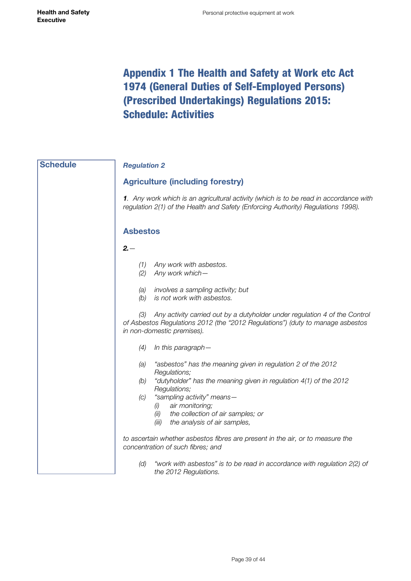#### <span id="page-38-0"></span>Appendix 1 The Health and Safety at Work etc Act 1974 (General Duties of Self-Employed Persons) (Prescribed Undertakings) Regulations 2015: Schedule: Activities

| <b>Schedule</b> | <b>Regulation 2</b>                                                                                                                                                                                                                                                                         |  |  |
|-----------------|---------------------------------------------------------------------------------------------------------------------------------------------------------------------------------------------------------------------------------------------------------------------------------------------|--|--|
|                 | <b>Agriculture (including forestry)</b>                                                                                                                                                                                                                                                     |  |  |
|                 | 1. Any work which is an agricultural activity (which is to be read in accordance with<br>regulation 2(1) of the Health and Safety (Enforcing Authority) Regulations 1998).                                                                                                                  |  |  |
|                 | <b>Asbestos</b>                                                                                                                                                                                                                                                                             |  |  |
|                 | $2 -$                                                                                                                                                                                                                                                                                       |  |  |
|                 | (1) Any work with asbestos.<br>(2)<br>Any work which-                                                                                                                                                                                                                                       |  |  |
|                 | involves a sampling activity; but<br>(a)<br>is not work with asbestos.<br>(b)                                                                                                                                                                                                               |  |  |
|                 | Any activity carried out by a dutyholder under regulation 4 of the Control<br>(3)<br>of Asbestos Regulations 2012 (the "2012 Regulations") (duty to manage asbestos<br>in non-domestic premises).                                                                                           |  |  |
|                 | (4)<br>In this paragraph-                                                                                                                                                                                                                                                                   |  |  |
|                 | "asbestos" has the meaning given in regulation 2 of the 2012<br>(a)<br>Regulations;<br>"dutyholder" has the meaning given in regulation 4(1) of the 2012<br>(b)<br>Regulations;<br>"sampling activity" means-<br>(C)<br>air monitoring;<br>(i)<br>the collection of air samples; or<br>(ii) |  |  |
|                 | (iii) the analysis of air samples,                                                                                                                                                                                                                                                          |  |  |
|                 | to ascertain whether asbestos fibres are present in the air, or to measure the<br>concentration of such fibres; and                                                                                                                                                                         |  |  |
|                 | "work with asbestos" is to be read in accordance with regulation 2(2) of<br>(d)<br>the 2012 Regulations.                                                                                                                                                                                    |  |  |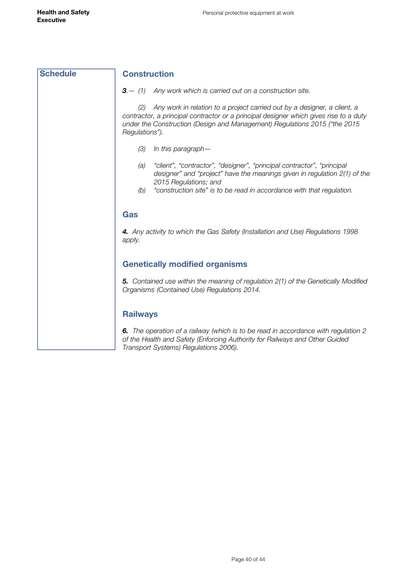| <b>Schedule</b> | <b>Construction</b>                                                                                                                                                                                                                                                   |  |  |
|-----------------|-----------------------------------------------------------------------------------------------------------------------------------------------------------------------------------------------------------------------------------------------------------------------|--|--|
|                 | $3 - (1)$ Any work which is carried out on a construction site.                                                                                                                                                                                                       |  |  |
|                 | (2) Any work in relation to a project carried out by a designer, a client, a<br>contractor, a principal contractor or a principal designer which gives rise to a duty<br>under the Construction (Design and Management) Regulations 2015 ("the 2015<br>Regulations"). |  |  |
|                 | (3)<br>In this paragraph-                                                                                                                                                                                                                                             |  |  |
|                 | "client", "contractor", "designer", "principal contractor", "principal<br>(a)<br>designer" and "project" have the meanings given in regulation 2(1) of the<br>2015 Regulations; and                                                                                   |  |  |
|                 | "construction site" is to be read in accordance with that regulation.<br>(b)                                                                                                                                                                                          |  |  |
|                 |                                                                                                                                                                                                                                                                       |  |  |
|                 | Gas                                                                                                                                                                                                                                                                   |  |  |
|                 | 4. Any activity to which the Gas Safety (Installation and Use) Regulations 1998<br>apply.                                                                                                                                                                             |  |  |
|                 | <b>Genetically modified organisms</b>                                                                                                                                                                                                                                 |  |  |
|                 | <b>5.</b> Contained use within the meaning of regulation 2(1) of the Genetically Modified<br>Organisms (Contained Use) Regulations 2014.                                                                                                                              |  |  |
|                 | <b>Railways</b>                                                                                                                                                                                                                                                       |  |  |
|                 | <b>6.</b> The operation of a railway (which is to be read in accordance with regulation 2<br>of the Health and Safety (Enforcing Authority for Railways and Other Guided<br>Transport Systems) Regulations 2006).                                                     |  |  |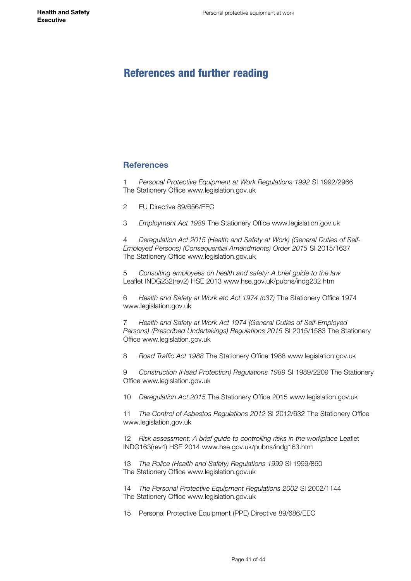#### <span id="page-40-0"></span>References and further reading

#### **References**

1 *Personal Protective Equipment at Work Regulations 1992* SI 1992/2966 The Stationery Office www.legislation.gov.uk

2 EU Directive 89/656/EEC

3 *Employment Act 1989* The Stationery Office www.legislation.gov.uk

4 *Deregulation Act 2015 (Health and Safety at Work) (General Duties of Self-Employed Persons) (Consequential Amendments) Order 2015* SI 2015/1637 The Stationery Office [www.legislation.gov.uk](http://www.legislation.gov.uk)

5 *Consulting employees on health and safety: A brief guide to the law* Leaflet INDG232(rev2) HSE 2013 [www.hse.gov.uk/pubns/indg232.htm](http://www.hse.gov.uk/pubns/indg232.htm)

6 *Health and Safety at Work etc Act 1974 (c37)* The Stationery Office 1974 [www.legislation.gov.uk](http://www.legislation.gov.uk)

7 *Health and Safety at Work Act 1974 (General Duties of Self-Employed Persons) (Prescribed Undertakings) Regulations 2015* SI 2015/1583 The Stationery Office [www.legislation.gov.uk](http://www.legislation.gov.uk)

8 *Road Traffic Act 1988* The Stationery Office 1988 [www.legislation.gov.uk](http://www.legislation.gov.uk)

9 *Construction (Head Protection) Regulations 1989* SI 1989/2209 The Stationery Office [www.legislation.gov.uk](http://www.legislation.gov.uk)

10 *Deregulation Act 2015* The Stationery Office 2015 [www.legislation.gov.uk](http://www.legislation.gov.uk)

11 *The Control of Asbestos Regulations 2012* SI 2012/632 The Stationery Office [www.legislation.gov.uk](http://www.legislation.gov.uk)

12 *Risk assessment: A brief guide to controlling risks in the workplace* Leaflet INDG163(rev4) HSE 2014 [www.hse.gov.uk/pubns/indg163.htm](http://www.hse.gov.uk/pubns/indg163.htm)

13 *The Police (Health and Safety) Regulations 1999* SI 1999/860 The Stationery Office [www.legislation.gov.uk](http://www.legislation.gov.uk)

14 *The Personal Protective Equipment Regulations 2002* SI 2002/1144 The Stationery Office [www.legislation.gov.uk](http://www.legislation.gov.uk)

15 Personal Protective Equipment (PPE) Directive 89/686/EEC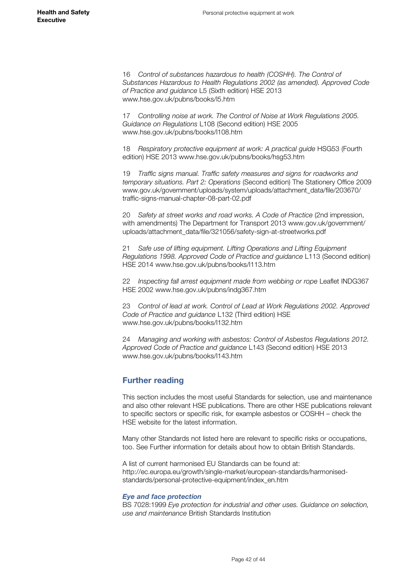16 *Control of substances hazardous to health (COSHH). The Control of Substances Hazardous to Health Regulations 2002 (as amended). Approved Code of Practice and guidance* L5 (Sixth edition) HSE 2013 [www.hse.gov.uk/pubns/books/l5.htm](http://www.hse.gov.uk/pubns/books/l5.htm)

17 *Controlling noise at work. The Control of Noise at Work Regulations 2005. Guidance on Regulations* L108 (Second edition) HSE 2005 www.hse.gov.uk/pubns/books/l108.htm

18 *Respiratory protective equipment at work: A practical guide* HSG53 (Fourth edition) HSE 2013 [www.hse.gov.uk/pubns/books/hsg53.htm](http://www.hse.gov.uk/pubns/books/hsg53.htm)

19 *Traffic signs manual. Traffic safety measures and signs for roadworks and temporary situations. Part 2: Operations* (Second edition) The Stationery Office 2009 www.gov.uk/government/uploads/system/uploads/attachment\_data/file/203670/ traffic-signs-manual-chapter-08-part-02.pdf

20 *Safety at street works and road works. A Code of Practice* (2nd impression, with amendments) The Department for Transport 2013 www.gov.uk/government/ uploads/attachment\_data/file/321056/safety-sign-at-streetworks.pdf

21 *Safe use of lifting equipment. Lifting Operations and Lifting Equipment Regulations 1998. Approved Code of Practice and guidance* L113 (Second edition) HSE 2014 www.hse.gov.uk/pubns/books/l113.htm

22 *Inspecting fall arrest equipment made from webbing or rope* Leaflet INDG367 HSE 2002 [www.hse.gov.uk/pubns/indg367.htm](http://www.hse.gov.uk/pubns/indg367.htm)

23 *Control of lead at work. Control of Lead at Work Regulations 2002. Approved Code of Practice and guidance* L132 (Third edition) HSE [www.hse.gov.uk/pubns/books/l132.htm](http://www.hse.gov.uk/pubns/books/l132.htm)

24 *Managing and working with asbestos: Control of Asbestos Regulations 2012. Approved Code of Practice and guidance* L143 (Second edition) HSE 2013 www.hse.gov.uk/pubns/books/l143.htm

#### **Further reading**

This section includes the most useful Standards for selection, use and maintenance and also other relevant HSE publications. There are other HSE publications relevant to specific sectors or specific risk, for example asbestos or COSHH – check the HSE website for the latest information.

Many other Standards not listed here are relevant to specific risks or occupations, too. See Further information for details about how to obtain British Standards.

A list of current harmonised EU Standards can be found at: [http://ec.europa.eu/growth/single-market/european-standards/harmonised](http://ec.europa.eu/growth/single-market/european-standards/harmonised-standards/personal-protective-equipment/index_en.htm)[standards/personal-protective-equipment/index\\_en.htm](http://ec.europa.eu/growth/single-market/european-standards/harmonised-standards/personal-protective-equipment/index_en.htm) 

#### *Eye and face protection*

BS 7028:1999 *Eye protection for industrial and other uses. Guidance on selection, use and maintenance* British Standards Institution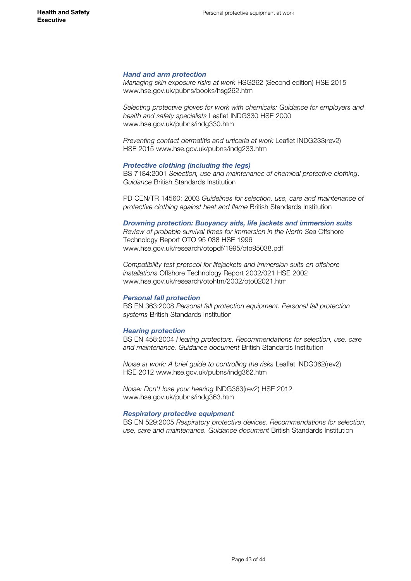#### *Hand and arm protection*

*Managing skin exposure risks at work* HSG262 (Second edition) HSE 2015 [www.hse.gov.uk/pubns/books/hsg262.htm](http://www.hse.gov.uk/pubns/books/hsg262.htm)

*Selecting protective gloves for work with chemicals: Guidance for employers and health and safety specialists* Leaflet INDG330 HSE 2000 [www.hse.gov.uk/pubns/indg330.htm](http://www.hse.gov.uk/pubns/indg330.htm)

*Preventing contact dermatitis and urticaria at work* Leaflet INDG233(rev2) HSE 2015 [www.hse.gov.uk/pubns/indg233.htm](http://www.hse.gov.uk/pubns/indg233.htm)

#### *Protective clothing (including the legs)*

BS 7184:2001 *Selection, use and maintenance of chemical protective clothing*. *Guidance* British Standards Institution

PD CEN/TR 14560: 2003 *Guidelines for selection, use, care and maintenance of protective clothing against heat and flame* British Standards Institution

#### *Drowning protection: Buoyancy aids, life jackets and immersion suits*

*Review of probable survival times for immersion in the North Sea* Offshore Technology Report OTO 95 038 HSE 1996 [www.hse.gov.uk/research/otopdf/1995/oto95038.pdf](http://www.hse.gov.uk/research/otopdf/1995/oto95038.pdf)

*Compatibility test protocol for lifejackets and immersion suits on offshore installations* Offshore Technology Report 2002/021 HSE 2002 www.hse.gov.uk/research/otohtm/2002/oto02021.htm

#### *Personal fall protection*

BS EN 363:2008 *Personal fall protection equipment. Personal fall protection systems* British Standards Institution

#### *Hearing protection*

BS EN 458:2004 *Hearing protectors. Recommendations for selection, use, care and maintenance. Guidance document* British Standards Institution

*Noise at work: A brief guide to controlling the risks* Leaflet INDG362(rev2) HSE 2012 [www.hse.gov.uk/pubns/indg362.htm](http://www.hse.gov.uk/pubns/indg362.htm)

*Noise: Don't lose your hearing* INDG363(rev2) HSE 2012 [www.hse.gov.uk/pubns/indg363.htm](http://www.hse.gov.uk/pubns/indg363.htm)

#### *Respiratory protective equipment*

BS EN 529:2005 *Respiratory protective devices. Recommendations for selection, use, care and maintenance. Guidance document* British Standards Institution